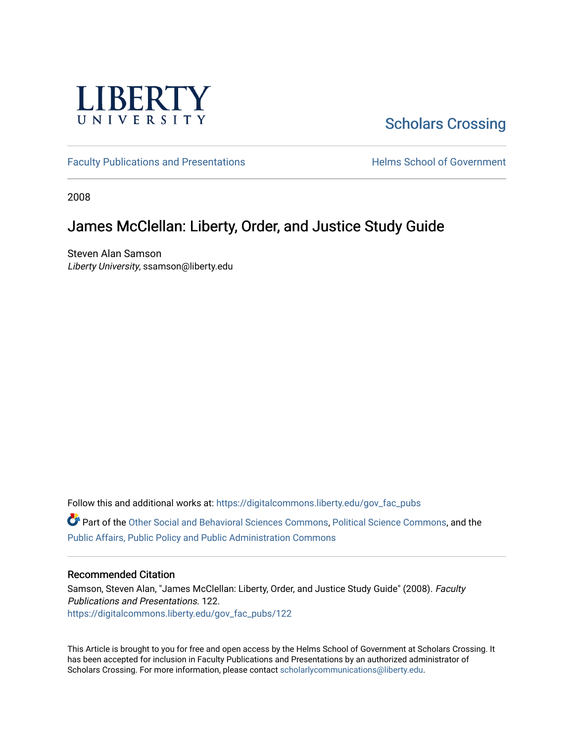

# [Scholars Crossing](https://digitalcommons.liberty.edu/)

[Faculty Publications and Presentations](https://digitalcommons.liberty.edu/gov_fac_pubs) **Exercise School of Government** 

2008

# James McClellan: Liberty, Order, and Justice Study Guide

Steven Alan Samson Liberty University, ssamson@liberty.edu

Follow this and additional works at: [https://digitalcommons.liberty.edu/gov\\_fac\\_pubs](https://digitalcommons.liberty.edu/gov_fac_pubs?utm_source=digitalcommons.liberty.edu%2Fgov_fac_pubs%2F122&utm_medium=PDF&utm_campaign=PDFCoverPages)

Part of the [Other Social and Behavioral Sciences Commons](http://network.bepress.com/hgg/discipline/437?utm_source=digitalcommons.liberty.edu%2Fgov_fac_pubs%2F122&utm_medium=PDF&utm_campaign=PDFCoverPages), [Political Science Commons](http://network.bepress.com/hgg/discipline/386?utm_source=digitalcommons.liberty.edu%2Fgov_fac_pubs%2F122&utm_medium=PDF&utm_campaign=PDFCoverPages), and the [Public Affairs, Public Policy and Public Administration Commons](http://network.bepress.com/hgg/discipline/393?utm_source=digitalcommons.liberty.edu%2Fgov_fac_pubs%2F122&utm_medium=PDF&utm_campaign=PDFCoverPages)

#### Recommended Citation

Samson, Steven Alan, "James McClellan: Liberty, Order, and Justice Study Guide" (2008). Faculty Publications and Presentations. 122. [https://digitalcommons.liberty.edu/gov\\_fac\\_pubs/122](https://digitalcommons.liberty.edu/gov_fac_pubs/122?utm_source=digitalcommons.liberty.edu%2Fgov_fac_pubs%2F122&utm_medium=PDF&utm_campaign=PDFCoverPages)

This Article is brought to you for free and open access by the Helms School of Government at Scholars Crossing. It has been accepted for inclusion in Faculty Publications and Presentations by an authorized administrator of Scholars Crossing. For more information, please contact [scholarlycommunications@liberty.edu.](mailto:scholarlycommunications@liberty.edu)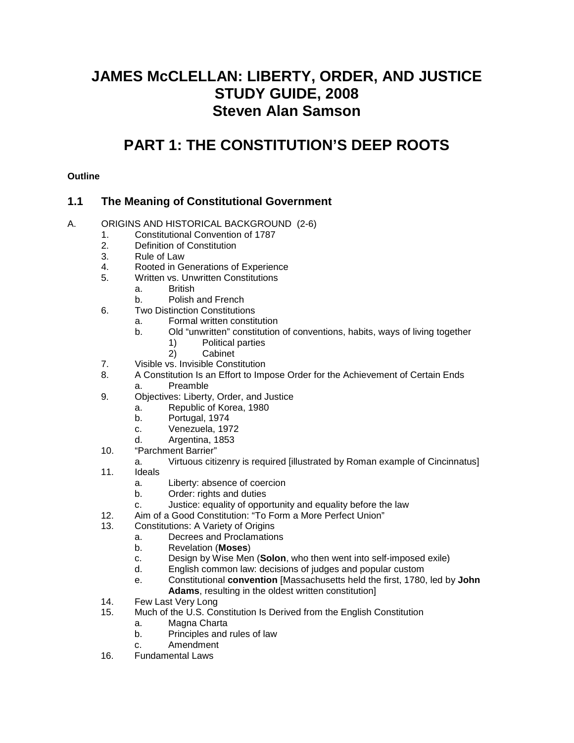# **JAMES McCLELLAN: LIBERTY, ORDER, AND JUSTICE STUDY GUIDE, 2008 Steven Alan Samson**

# **PART 1: THE CONSTITUTION'S DEEP ROOTS**

#### **Outline**

## **1.1 The Meaning of Constitutional Government**

#### A. ORIGINS AND HISTORICAL BACKGROUND (2-6)

- 1. Constitutional Convention of 1787
- 2. Definition of Constitution
- 3. Rule of Law
- 4. Rooted in Generations of Experience
- 5. Written vs. Unwritten Constitutions
	- a. British
		- b. Polish and French
- 6. Two Distinction Constitutions
	- a. Formal written constitution
	- b. Old "unwritten" constitution of conventions, habits, ways of living together
		- 1) Political parties
		- 2) Cabinet
- 7. Visible vs. Invisible Constitution
- 8. A Constitution Is an Effort to Impose Order for the Achievement of Certain Ends **Preamble**
- 9. Objectives: Liberty, Order, and Justice
	- a. Republic of Korea, 1980
	- b. Portugal, 1974
	- c. Venezuela, 1972
	- d. Argentina, 1853
- 10. "Parchment Barrier"

#### a. Virtuous citizenry is required [illustrated by Roman example of Cincinnatus]

- 11. Ideals
	- a. Liberty: absence of coercion
	- b. Order: rights and duties
	- c. Justice: equality of opportunity and equality before the law
- 12. Aim of a Good Constitution: "To Form a More Perfect Union"<br>13. Constitutions: A Variety of Origins
- 13. Constitutions: A Variety of Origins
	- a. Decrees and Proclamations
	- b. Revelation (**Moses**)
	- c. Design by Wise Men (**Solon**, who then went into self-imposed exile)
	- d. English common law: decisions of judges and popular custom
	- e. Constitutional **convention** [Massachusetts held the first, 1780, led by **John Adams**, resulting in the oldest written constitution]
- 14. Few Last Very Long
- 15. Much of the U.S. Constitution Is Derived from the English Constitution
	- a. Magna Charta
	- b. Principles and rules of law
	- c. Amendment
- 16. Fundamental Laws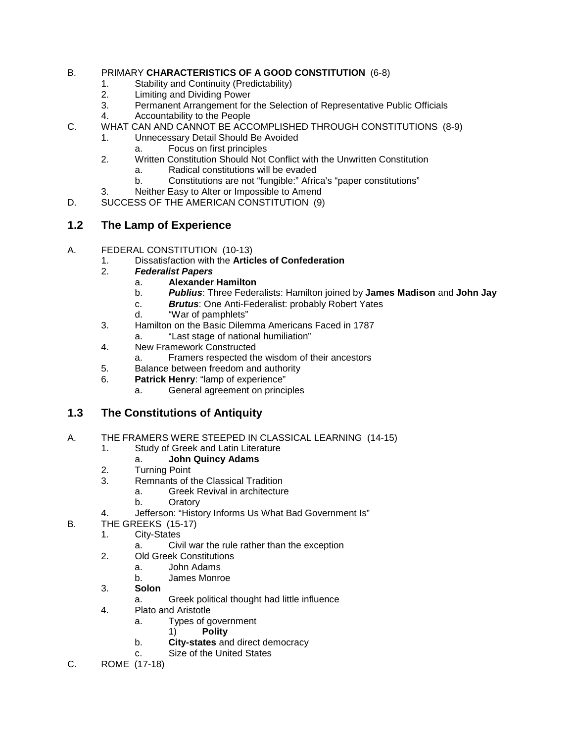#### B. PRIMARY **CHARACTERISTICS OF A GOOD CONSTITUTION** (6-8)

- 1. Stability and Continuity (Predictability)
- 2. Limiting and Dividing Power<br>3. Permanent Arrangement for
- Permanent Arrangement for the Selection of Representative Public Officials
- 4. Accountability to the People
- C. WHAT CAN AND CANNOT BE ACCOMPLISHED THROUGH CONSTITUTIONS (8-9)
	- 1. Unnecessary Detail Should Be Avoided
		- a. Focus on first principles
	- 2. Written Constitution Should Not Conflict with the Unwritten Constitution
		- a. Radical constitutions will be evaded
		- b. Constitutions are not "fungible:" Africa's "paper constitutions"
	- 3. Neither Easy to Alter or Impossible to Amend
- D. SUCCESS OF THE AMERICAN CONSTITUTION (9)

# **1.2 The Lamp of Experience**

- A. FEDERAL CONSTITUTION (10-13)
	- 1. Dissatisfaction with the **Articles of Confederation**
		- 2. *Federalist Papers*
			- a. **Alexander Hamilton**
			- b. *Publius*: Three Federalists: Hamilton joined by **James Madison** and **John Jay**
			- c. *Brutus*: One Anti-Federalist: probably Robert Yates
			- d. "War of pamphlets"
	- 3. Hamilton on the Basic Dilemma Americans Faced in 1787
		- a. "Last stage of national humiliation"
	- 4. New Framework Constructed
		- a. Framers respected the wisdom of their ancestors
	- 5. Balance between freedom and authority
	- 6. **Patrick Henry**: "lamp of experience"
		- a. General agreement on principles

# **1.3 The Constitutions of Antiquity**

- A. THE FRAMERS WERE STEEPED IN CLASSICAL LEARNING (14-15)
	- 1. Study of Greek and Latin Literature
		- a. **John Quincy Adams**
	- 2. Turning Point
	- 3. Remnants of the Classical Tradition
		- a. Greek Revival in architecture
		- b. Oratory
	- 4. Jefferson: "History Informs Us What Bad Government Is"
- B. THE GREEKS (15-17)
	- 1. City-States
		- a. Civil war the rule rather than the exception
	- 2. Old Greek Constitutions
		- a. John Adams
		- b. James Monroe
	- 3. **Solon**
		- a. Greek political thought had little influence
	- 4. Plato and Aristotle
		- a. Types of government
			- 1) **Polity**
		- b. **City-states** and direct democracy
		- c. Size of the United States
- C. ROME (17-18)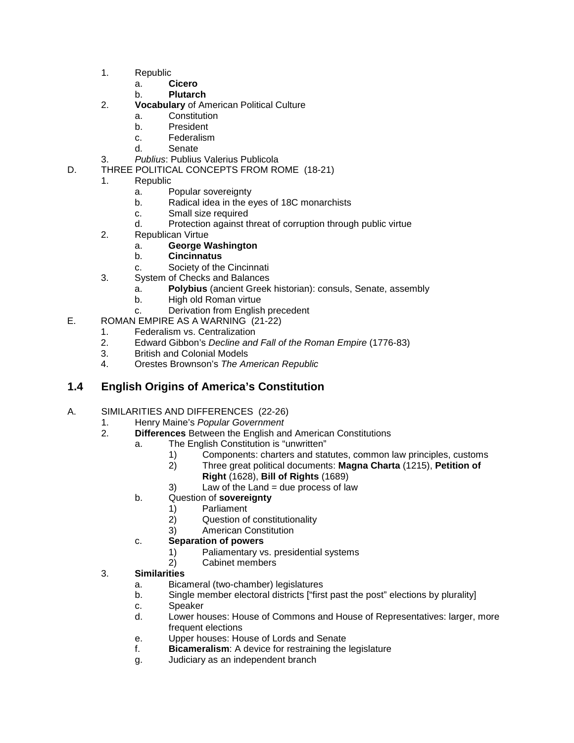- 1. Republic
	- a. **Cicero**
	- b. **Plutarch**
- 2. **Vocabulary** of American Political Culture
	- a. Constitution
	- b. President
	- c. Federalism
	- d. Senate
- 3. *Publius*: Publius Valerius Publicola
- D. THREE POLITICAL CONCEPTS FROM ROME (18-21)
	- 1. Republic
		- a. Popular sovereignty<br>b. Radical idea in the e
		- b. Radical idea in the eyes of 18C monarchists
		- c. Small size required
		- d. Protection against threat of corruption through public virtue
		- 2. Republican Virtue
			- a. **George Washington**
			- b. **Cincinnatus**
			- c. Society of the Cincinnati
		- 3. System of Checks and Balances
			- a. **Polybius** (ancient Greek historian): consuls, Senate, assembly
			- b. High old Roman virtue
			- c. Derivation from English precedent
- E. ROMAN EMPIRE AS A WARNING (21-22)
	- 1. Federalism vs. Centralization
		- 2. Edward Gibbon's *Decline and Fall of the Roman Empire* (1776-83)
		- 3. British and Colonial Models
		- 4. Orestes Brownson's *The American Republic*

## **1.4 English Origins of America's Constitution**

# A. SIMILARITIES AND DIFFERENCES (22-26)<br>1. Henry Maine's Popular Government

- 1. Henry Maine's *Popular Government*
	- 2. **Differences** Between the English and American Constitutions
		- a. The English Constitution is "unwritten"
			- 1) Components: charters and statutes, common law principles, customs<br>2) Three great political documents: **Magna Charta** (1215), **Petition of** 
				- 2) Three great political documents: **Magna Charta** (1215), **Petition of Right** (1628), **Bill of Rights** (1689)
			- $3)$  Law of the Land = due process of law
			- b. Question of **sovereignty**
				- 1) Parliament
				- 2) Question of constitutionality
				- 3) American Constitution
			- c. **Separation of powers**
				- 1) Paliamentary vs. presidential systems<br>2) Cabinet members
					- Cabinet members

#### 3. **Similarities**

- a. Bicameral (two-chamber) legislatures
- b. Single member electoral districts ["first past the post" elections by plurality]
- c. Speaker
- d. Lower houses: House of Commons and House of Representatives: larger, more frequent elections
- e. Upper houses: House of Lords and Senate
- f. **Bicameralism**: A device for restraining the legislature
- g. Judiciary as an independent branch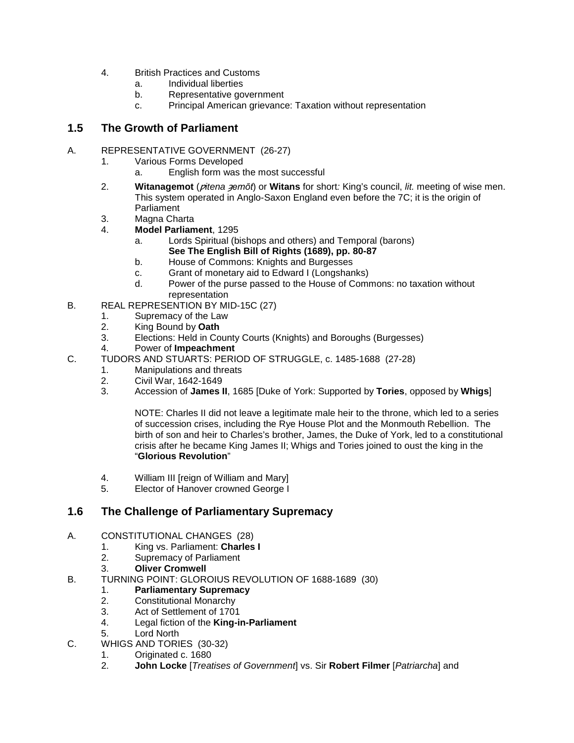- 4. British Practices and Customs
	- a. Individual liberties
	- b. Representative government
	- c. Principal American grievance: Taxation without representation

## **1.5 The Growth of Parliament**

#### A. REPRESENTATIVE GOVERNMENT (26-27)

- 1. Various Forms Developed
	- a. English form was the most successful
- 2. **Witanagemot** (*pitena aemot*) or **Witans** for short: King's council, *lit.* meeting of wise men. This system operated in Anglo-Saxon England even before the 7C; it is the origin of Parliament
- 3. Magna Charta
- 4. **Model Parliament**, 1295
	- a. Lords Spiritual (bishops and others) and Temporal (barons) **See The English Bill of Rights (1689), pp. 80-87**
	- b. House of Commons: Knights and Burgesses
	- c. Grant of monetary aid to Edward I (Longshanks)
	- d. Power of the purse passed to the House of Commons: no taxation without representation
- B. REAL REPRESENTION BY MID-15C (27)
	- 1. Supremacy of the Law<br>2. King Bound by Oath
	- 2. King Bound by **Oath**
	- 3. Elections: Held in County Courts (Knights) and Boroughs (Burgesses)
	- 4. Power of **Impeachment**
- C. TUDORS AND STUARTS: PERIOD OF STRUGGLE, c. 1485-1688 (27-28)
	- 1. Manipulations and threats
	- 2. Civil War, 1642-1649<br>3. Accession of **James I**
	- 3. Accession of **James II**, 1685 [Duke of York: Supported by **Tories**, opposed by **Whigs**]

NOTE: Charles II did not leave a legitimate male heir to the throne, which led to a series of succession crises, including the Rye House Plot and the Monmouth Rebellion. The birth of son and heir to Charles's brother, James, the Duke of York, led to a constitutional crisis after he became King James II; Whigs and Tories joined to oust the king in the "**Glorious Revolution**"

- 4. William III [reign of William and Mary]
- 5. Elector of Hanover crowned George I

## **1.6 The Challenge of Parliamentary Supremacy**

#### A. CONSTITUTIONAL CHANGES (28)

- 1. King vs. Parliament: **Charles I**
- 2. Supremacy of Parliament<br>3. **Oliver Cromwell**
- **Oliver Cromwell**
- B. TURNING POINT: GLOROIUS REVOLUTION OF 1688-1689 (30)
	- 1. **Parliamentary Supremacy**
	- 2. Constitutional Monarchy
	- 3. Act of Settlement of 1701
	- 4. Legal fiction of the **King-in-Parliament**
	- 5. Lord North
- C. WHIGS AND TORIES (30-32)<br>1. Originated c. 1680
	- 1. Originated c. 1680<br>2. **John Locke** Freat
	- 2. **John Locke** [*Treatises of Government*] vs. Sir **Robert Filmer** [*Patriarcha*] and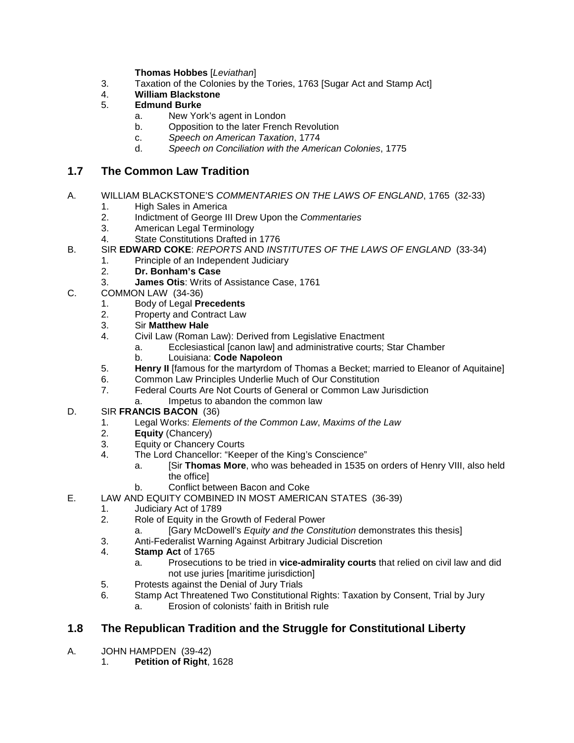**Thomas Hobbes** [*Leviathan*]

- 3. Taxation of the Colonies by the Tories, 1763 [Sugar Act and Stamp Act]
- 4. **William Blackstone**
- 5. **Edmund Burke**
	- a. New York's agent in London
	- b. Opposition to the later French Revolution
	- c. *Speech on American Taxation*, 1774
	- d. *Speech on Conciliation with the American Colonies*, 1775

#### **1.7 The Common Law Tradition**

- A. WILLIAM BLACKSTONE'S *COMMENTARIES ON THE LAWS OF ENGLAND*, 1765 (32-33)
	- 1. High Sales in America
	- 2. Indictment of George III Drew Upon the *Commentaries*
	- 3. American Legal Terminology
	- 4. State Constitutions Drafted in 1776
- B. SIR **EDWARD COKE**: *REPORTS* AND *INSTITUTES OF THE LAWS OF ENGLAND* (33-34)
	- 1. Principle of an Independent Judiciary<br>2. **Dr. Bonham's Case**
	- 2. **Dr. Bonham's Case**
	- 3. **James Otis**: Writs of Assistance Case, 1761
- C. COMMON LAW (34-36)
	- 1. Body of Legal **Precedents**
	- 2. Property and Contract Law
	- 3. Sir **Matthew Hale**
		- 4. Civil Law (Roman Law): Derived from Legislative Enactment
			- a. Ecclesiastical [canon law] and administrative courts; Star Chamber
			- b. Louisiana: **Code Napoleon**
	- 5. **Henry II** [famous for the martyrdom of Thomas a Becket; married to Eleanor of Aquitaine]
	- 6. Common Law Principles Underlie Much of Our Constitution<br>7. Federal Courts Are Not Courts of General or Common Law
	- Federal Courts Are Not Courts of General or Common Law Jurisdiction
	- a. Impetus to abandon the common law
- D. SIR **FRANCIS BACON** (36)
	- 1. Legal Works: *Elements of the Common Law*, *Maxims of the Law*
	- 2. **Equity** (Chancery)<br>3. Equity or Chancery
	- 3. Equity or Chancery Courts<br>4. The Lord Chancellor: "Keer
	- The Lord Chancellor: "Keeper of the King's Conscience"
		- a. [Sir **Thomas More**, who was beheaded in 1535 on orders of Henry VIII, also held the office]
		- b. Conflict between Bacon and Coke
- E. LAW AND EQUITY COMBINED IN MOST AMERICAN STATES (36-39)
	- 1. Judiciary Act of 1789<br>2. Role of Equity in the 0
	- Role of Equity in the Growth of Federal Power
		- a. [Gary McDowell's *Equity and the Constitution* demonstrates this thesis]
	- 3. Anti-Federalist Warning Against Arbitrary Judicial Discretion
	- 4. **Stamp Act** of 1765
		- a. Prosecutions to be tried in **vice-admirality courts** that relied on civil law and did not use juries [maritime jurisdiction]
	- 5. Protests against the Denial of Jury Trials
	- 6. Stamp Act Threatened Two Constitutional Rights: Taxation by Consent, Trial by Jury
		- a. Erosion of colonists' faith in British rule

# **1.8 The Republican Tradition and the Struggle for Constitutional Liberty**

- A. JOHN HAMPDEN(39-42)
	- 1. **Petition of Right**, 1628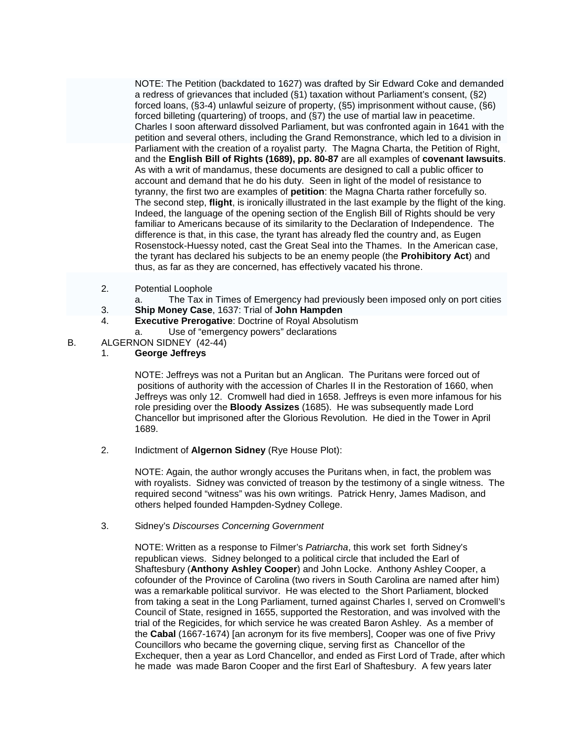NOTE: The Petition (backdated to 1627) was drafted by Sir Edward Coke and demanded a redress of grievances that included (§1) taxation without Parliament's consent, (§2) forced loans, (§3-4) unlawful seizure of property, (§5) imprisonment without cause, (§6) forced billeting (quartering) of troops, and (§7) the use of martial law in peacetime. Charles I soon afterward dissolved Parliament, but was confronted again in 1641 with the petition and several others, including the Grand Remonstrance, which led to a division in Parliament with the creation of a royalist party. The Magna Charta, the Petition of Right, and the **English Bill of Rights (1689), pp. 80-87** are all examples of **covenant lawsuits**. As with a writ of mandamus, these documents are designed to call a public officer to account and demand that he do his duty. Seen in light of the model of resistance to tyranny, the first two are examples of **petition**: the Magna Charta rather forcefully so. The second step, **flight**, is ironically illustrated in the last example by the flight of the king. Indeed, the language of the opening section of the English Bill of Rights should be very familiar to Americans because of its similarity to the Declaration of Independence. The difference is that, in this case, the tyrant has already fled the country and, as Eugen Rosenstock-Huessy noted, cast the Great Seal into the Thames. In the American case, the tyrant has declared his subjects to be an enemy people (the **Prohibitory Act**) and thus, as far as they are concerned, has effectively vacated his throne.

- 2. Potential Loophole
	- a. The Tax in Times of Emergency had previously been imposed only on port cities
- 3. **Ship Money Case**, 1637: Trial of **John Hampden**
- **Executive Prerogative: Doctrine of Royal Absolutism**
- a. Use of "emergency powers" declarations
- B. ALGERNON SIDNEY (42-44)
	- 1. **George Jeffreys**

NOTE: Jeffreys was not a Puritan but an Anglican. The Puritans were forced out of positions of authority with the accession of Charles II in the Restoration of 1660, when Jeffreys was only 12. Cromwell had died in 1658. Jeffreys is even more infamous for his role presiding over the **Bloody Assizes** (1685). He was subsequently made Lord Chancellor but imprisoned after the Glorious Revolution. He died in the Tower in April 1689.

2. Indictment of **Algernon Sidney** (Rye House Plot):

NOTE: Again, the author wrongly accuses the Puritans when, in fact, the problem was with royalists. Sidney was convicted of treason by the testimony of a single witness. The required second "witness" was his own writings. Patrick Henry, James Madison, and others helped founded Hampden-Sydney College.

3. Sidney's *Discourses Concerning Government*

NOTE: Written as a response to Filmer's *Patriarcha*, this work set forth Sidney's republican views. Sidney belonged to a political circle that included the Earl of Shaftesbury (**Anthony Ashley Cooper**) and John Locke. Anthony Ashley Cooper, a cofounder of the Province of Carolina (two rivers in South Carolina are named after him) was a remarkable political survivor. He was elected to the Short Parliament, blocked from taking a seat in the Long Parliament, turned against Charles I, served on Cromwell's Council of State, resigned in 1655, supported the Restoration, and was involved with the trial of the Regicides, for which service he was created Baron Ashley. As a member of the **Cabal** (1667-1674) [an acronym for its five members], Cooper was one of five Privy Councillors who became the governing clique, serving first as Chancellor of the Exchequer, then a year as Lord Chancellor, and ended as First Lord of Trade, after which he made was made Baron Cooper and the first Earl of Shaftesbury. A few years later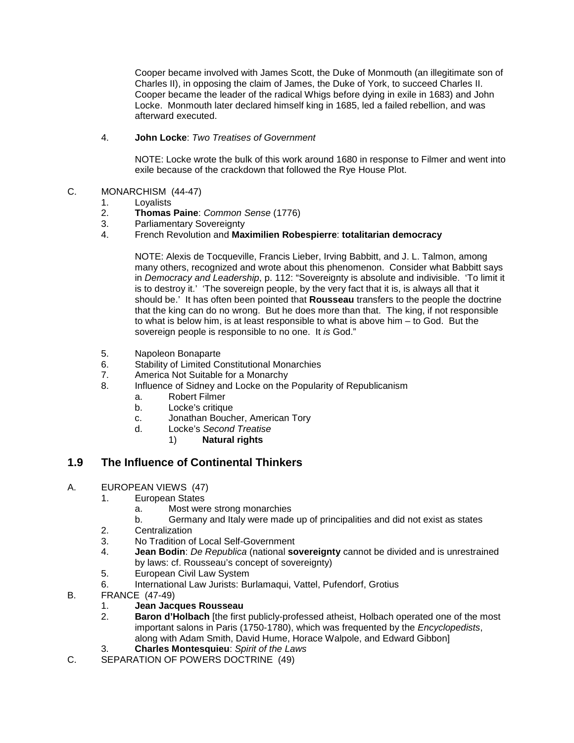Cooper became involved with James Scott, the Duke of Monmouth (an illegitimate son of Charles II), in opposing the claim of James, the Duke of York, to succeed Charles II. Cooper became the leader of the radical Whigs before dying in exile in 1683) and John Locke. Monmouth later declared himself king in 1685, led a failed rebellion, and was afterward executed.

#### 4. **John Locke**: *Two Treatises of Government*

NOTE: Locke wrote the bulk of this work around 1680 in response to Filmer and went into exile because of the crackdown that followed the Rye House Plot.

# C. MONARCHISM (44-47)<br>1. Lovalists

- 1. Loyalists<br>2. **Thomas**
- 2. **Thomas Paine**: *Common Sense* (1776)
- 3. Parliamentary Sovereignty<br>4. French Revolution and May
- 4. French Revolution and **Maximilien Robespierre**: **totalitarian democracy**

NOTE: Alexis de Tocqueville, Francis Lieber, Irving Babbitt, and J. L. Talmon, among many others, recognized and wrote about this phenomenon. Consider what Babbitt says in *Democracy and Leadership*, p. 112: "Sovereignty is absolute and indivisible. 'To limit it is to destroy it.' 'The sovereign people, by the very fact that it is, is always all that it should be.' It has often been pointed that **Rousseau** transfers to the people the doctrine that the king can do no wrong. But he does more than that. The king, if not responsible to what is below him, is at least responsible to what is above him – to God. But the sovereign people is responsible to no one. It *is* God."

- 5. Napoleon Bonaparte
- 6. Stability of Limited Constitutional Monarchies
- 7. America Not Suitable for a Monarchy
- 8. Influence of Sidney and Locke on the Popularity of Republicanism
	- a. Robert Filmer
	- b. Locke's critique
	- c. Jonathan Boucher, American Tory
	- d. Locke's *Second Treatise*
		- 1) **Natural rights**

## **1.9 The Influence of Continental Thinkers**

- A. EUROPEAN VIEWS (47)
	- 1. European States
		- a. Most were strong monarchies
		- b. Germany and Italy were made up of principalities and did not exist as states
	- 2. Centralization
	- 3. No Tradition of Local Self-Government
	- 4. **Jean Bodin**: *De Republica* (national **sovereignty** cannot be divided and is unrestrained by laws: cf. Rousseau's concept of sovereignty)
	- 5. European Civil Law System
	- 6. International Law Jurists: Burlamaqui, Vattel, Pufendorf, Grotius
- B. FRANCE (47-49)
	- 1. **Jean Jacques Rousseau**
	- **Baron d'Holbach** [the first publicly-professed atheist, Holbach operated one of the most important salons in Paris (1750-1780), which was frequented by the *Encyclopedists*, along with Adam Smith, David Hume, Horace Walpole, and Edward Gibbon]
	- 3. **Charles Montesquieu**: *Spirit of the Laws*
- C. SEPARATION OF POWERS DOCTRINE (49)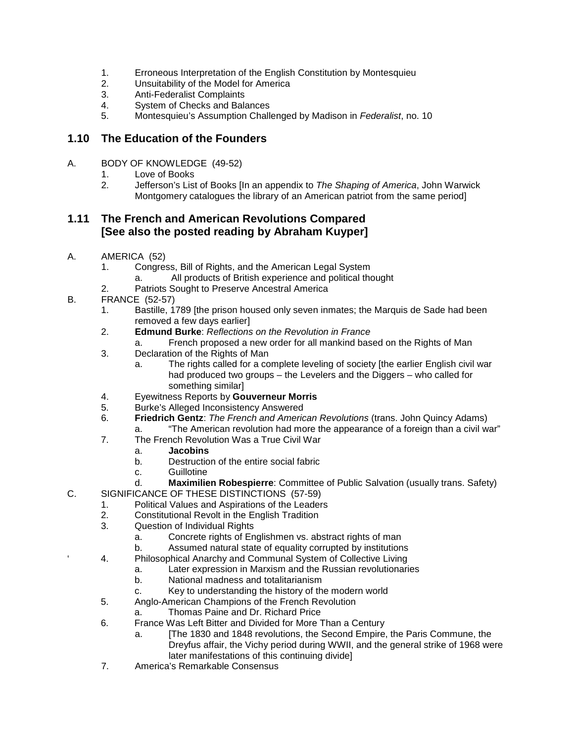- 1. Erroneous Interpretation of the English Constitution by Montesquieu<br>2. Unsuitability of the Model for America
- Unsuitability of the Model for America
- 3. Anti-Federalist Complaints<br>4. System of Checks and Bala
- 4. System of Checks and Balances
- 5. Montesquieu's Assumption Challenged by Madison in *Federalist*, no. 10

#### **1.10 The Education of the Founders**

- A. BODY OF KNOWLEDGE (49-52)
	- 1. Love of Books<br>2. Jefferson's List
	- 2. Jefferson's List of Books [In an appendix to *The Shaping of America*, John Warwick Montgomery catalogues the library of an American patriot from the same period]

# **1.11 The French and American Revolutions Compared [See also the posted reading by Abraham Kuyper]**

- A. AMERICA (52)
	- 1. Congress, Bill of Rights, and the American Legal System
		- a. All products of British experience and political thought
	- 2. Patriots Sought to Preserve Ancestral America
- B. FRANCE (52-57)
	- 1. Bastille, 1789 [the prison housed only seven inmates; the Marquis de Sade had been removed a few days earlier]
	- 2. **Edmund Burke**: *Reflections on the Revolution in France*
		- a. French proposed a new order for all mankind based on the Rights of Man
	- 3. Declaration of the Rights of Man
		- a. The rights called for a complete leveling of society [the earlier English civil war had produced two groups – the Levelers and the Diggers – who called for something similar]
	- 4. Eyewitness Reports by **Gouverneur Morris**
	- 5. Burke's Alleged Inconsistency Answered
	- 6. **Friedrich Gentz**: *The French and American Revolutions* (trans. John Quincy Adams)
		- a. "The American revolution had more the appearance of a foreign than a civil war"
	- 7. The French Revolution Was a True Civil War
		- a. **Jacobins**
		- b. Destruction of the entire social fabric
		- c. Guillotine
		- d. **Maximilien Robespierre**: Committee of Public Salvation (usually trans. Safety)
- C. SIGNIFICANCE OF THESE DISTINCTIONS (57-59)
	- 1. Political Values and Aspirations of the Leaders
		- 2. Constitutional Revolt in the English Tradition<br>3. Cuestion of Individual Rights
	- Question of Individual Rights
		- a. Concrete rights of Englishmen vs. abstract rights of man
		- b. Assumed natural state of equality corrupted by institutions
	- 4. Philosophical Anarchy and Communal System of Collective Living
		- a. Later expression in Marxism and the Russian revolutionaries
			- b. National madness and totalitarianism
			- c. Key to understanding the history of the modern world
	- 5. Anglo-American Champions of the French Revolution
		- a. Thomas Paine and Dr. Richard Price
	- 6. France Was Left Bitter and Divided for More Than a Century
		- a. [The 1830 and 1848 revolutions, the Second Empire, the Paris Commune, the Dreyfus affair, the Vichy period during WWII, and the general strike of 1968 were later manifestations of this continuing divide]
	- 7. America's Remarkable Consensus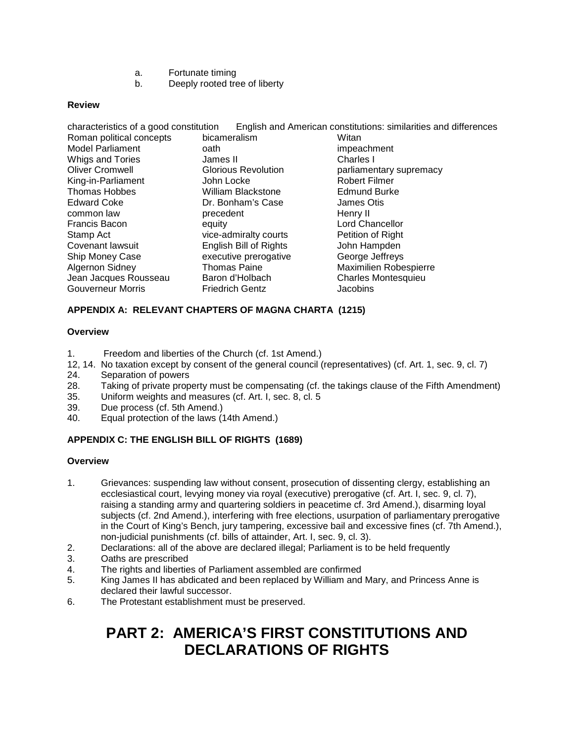- a. Fortunate timing
- b. Deeply rooted tree of liberty

#### **Review**

| English and American constitutions: similarities and differences<br>characteristics of a good constitution |                            |                            |  |  |
|------------------------------------------------------------------------------------------------------------|----------------------------|----------------------------|--|--|
| Roman political concepts                                                                                   | bicameralism               | Witan                      |  |  |
| Model Parliament                                                                                           | oath                       | impeachment                |  |  |
| Whigs and Tories                                                                                           | James II                   | Charles I                  |  |  |
| <b>Oliver Cromwell</b>                                                                                     | <b>Glorious Revolution</b> | parliamentary supremacy    |  |  |
| King-in-Parliament                                                                                         | John Locke                 | <b>Robert Filmer</b>       |  |  |
| <b>Thomas Hobbes</b>                                                                                       | <b>William Blackstone</b>  | <b>Edmund Burke</b>        |  |  |
| <b>Edward Coke</b>                                                                                         | Dr. Bonham's Case          | James Otis                 |  |  |
| common law                                                                                                 | precedent                  | Henry II                   |  |  |
| Francis Bacon                                                                                              | equity                     | <b>Lord Chancellor</b>     |  |  |
| Stamp Act                                                                                                  | vice-admiralty courts      | Petition of Right          |  |  |
| Covenant lawsuit                                                                                           | English Bill of Rights     | John Hampden               |  |  |
| Ship Money Case                                                                                            | executive prerogative      | George Jeffreys            |  |  |
| <b>Algernon Sidney</b>                                                                                     | <b>Thomas Paine</b>        | Maximilien Robespierre     |  |  |
| Jean Jacques Rousseau                                                                                      | Baron d'Holbach            | <b>Charles Montesquieu</b> |  |  |
| <b>Gouverneur Morris</b>                                                                                   | <b>Friedrich Gentz</b>     | Jacobins                   |  |  |

#### **APPENDIX A: RELEVANT CHAPTERS OF MAGNA CHARTA (1215)**

#### **Overview**

- 1. Freedom and liberties of the Church (cf. 1st Amend.)
- 12, 14. No taxation except by consent of the general council (representatives) (cf. Art. 1, sec. 9, cl. 7)
- 24. Separation of powers
- 28. Taking of private property must be compensating (cf. the takings clause of the Fifth Amendment)<br>35. Uniform weights and measures (cf. Art. I. sec. 8, cl. 5
- Uniform weights and measures (cf. Art. I, sec. 8, cl. 5
- 39. Due process (cf. 5th Amend.)
- 40. Equal protection of the laws (14th Amend.)

#### **APPENDIX C: THE ENGLISH BILL OF RIGHTS (1689)**

#### **Overview**

- 1. Grievances: suspending law without consent, prosecution of dissenting clergy, establishing an ecclesiastical court, levying money via royal (executive) prerogative (cf. Art. I, sec. 9, cl. 7), raising a standing army and quartering soldiers in peacetime cf. 3rd Amend.), disarming loyal subjects (cf. 2nd Amend.), interfering with free elections, usurpation of parliamentary prerogative in the Court of King's Bench, jury tampering, excessive bail and excessive fines (cf. 7th Amend.), non-judicial punishments (cf. bills of attainder, Art. I, sec. 9, cl. 3).
- 2. Declarations: all of the above are declared illegal; Parliament is to be held frequently
- Oaths are prescribed
- 4. The rights and liberties of Parliament assembled are confirmed
- 5. King James II has abdicated and been replaced by William and Mary, and Princess Anne is declared their lawful successor.
- 6. The Protestant establishment must be preserved.

# **PART 2: AMERICA'S FIRST CONSTITUTIONS AND DECLARATIONS OF RIGHTS**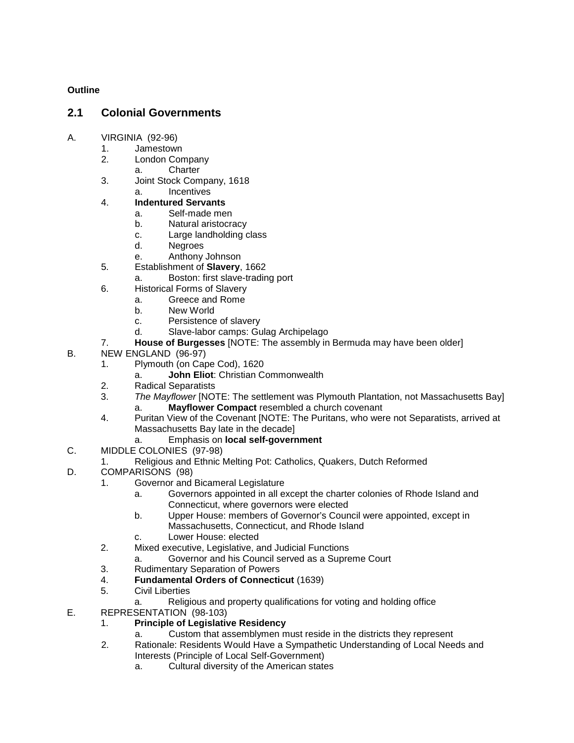#### **Outline**

## **2.1 Colonial Governments**

- A. VIRGINIA (92-96)
	- 1. Jamestown
	- 2. London Company
		- a. Charter
	- 3. Joint Stock Company, 1618
		- a. Incentives
	- 4. **Indentured Servants**
		- a. Self-made men
		- b. Natural aristocracy
		- c. Large landholding class
		- d. Negroes
		- e. Anthony Johnson
	- 5. Establishment of **Slavery**, 1662
		- a. Boston: first slave-trading port
	- 6. Historical Forms of Slavery
		- a. Greece and Rome
		- b. New World
		- c. Persistence of slavery
		- d. Slave-labor camps: Gulag Archipelago
	- 7. **House of Burgesses** [NOTE: The assembly in Bermuda may have been older]
- B. NEW ENGLAND (96-97)
	- 1. Plymouth (on Cape Cod), 1620
		- a. **John Eliot**: Christian Commonwealth
	- 2. Radical Separatists<br>3. The Mavflower INO
	- 3. *The Mayflower* [NOTE: The settlement was Plymouth Plantation, not Massachusetts Bay] a. **Mayflower Compact** resembled a church covenant
	- 4. Puritan View of the Covenant [NOTE: The Puritans, who were not Separatists, arrived at Massachusetts Bay late in the decade]
		- a. Emphasis on **local self-government**
- C. MIDDLE COLONIES (97-98)
	- 1. Religious and Ethnic Melting Pot: Catholics, Quakers, Dutch Reformed
- D. COMPARISONS (98)
	- 1. Governor and Bicameral Legislature
		- a. Governors appointed in all except the charter colonies of Rhode Island and Connecticut, where governors were elected
		- b. Upper House: members of Governor's Council were appointed, except in Massachusetts, Connecticut, and Rhode Island
		- c. Lower House: elected
	- 2. Mixed executive, Legislative, and Judicial Functions
		- a. Governor and his Council served as a Supreme Court
	- 3. Rudimentary Separation of Powers<br>4. **Fundamental Orders of Connection**
	- 4. **Fundamental Orders of Connecticut** (1639)
	- 5. Civil Liberties
		- a. Religious and property qualifications for voting and holding office
- E. REPRESENTATION (98-103)
	- 1. **Principle of Legislative Residency**
		- a. Custom that assemblymen must reside in the districts they represent
	- 2. Rationale: Residents Would Have a Sympathetic Understanding of Local Needs and Interests (Principle of Local Self-Government)
		- a. Cultural diversity of the American states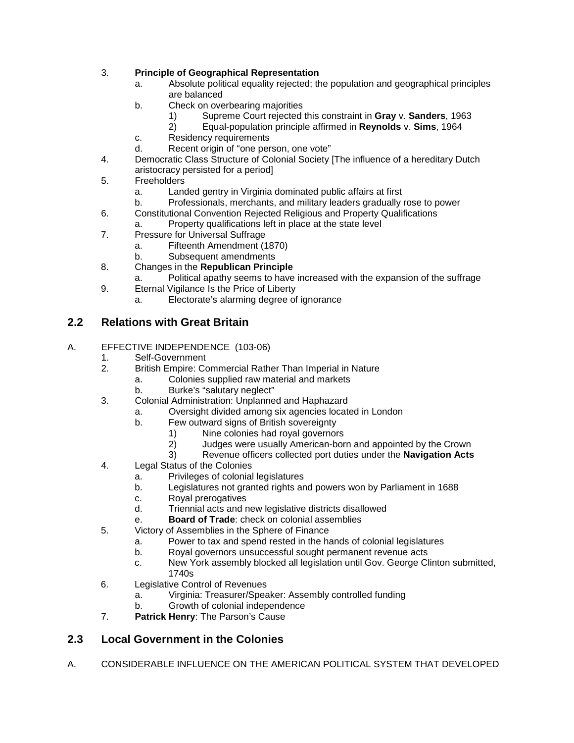#### 3. **Principle of Geographical Representation**

- a. Absolute political equality rejected; the population and geographical principles are balanced
- b. Check on overbearing majorities
	- 1) Supreme Court rejected this constraint in **Gray** v. **Sanders**, 1963
	- 2) Equal-population principle affirmed in **Reynolds** v. **Sims**, 1964
- c. Residency requirements
- d. Recent origin of "one person, one vote"
- 4. Democratic Class Structure of Colonial Society [The influence of a hereditary Dutch aristocracy persisted for a period]
- 5. Freeholders
	-
	- a. Landed gentry in Virginia dominated public affairs at first Professionals, merchants, and military leaders gradually rose to power
- 6. Constitutional Convention Rejected Religious and Property Qualifications
	- a. Property qualifications left in place at the state level
- 7. Pressure for Universal Suffrage
	- a. Fifteenth Amendment (1870)
	- b. Subsequent amendments
- 8. Changes in the **Republican Principle**
	- a. Political apathy seems to have increased with the expansion of the suffrage
- 9. Eternal Vigilance Is the Price of Liberty
	- a. Electorate's alarming degree of ignorance

## **2.2 Relations with Great Britain**

#### A. EFFECTIVE INDEPENDENCE (103-06)

- 1. Self-Government<br>2. British Empire: Co
	- 2. British Empire: Commercial Rather Than Imperial in Nature
		- a. Colonies supplied raw material and markets
		- b. Burke's "salutary neglect"
- 3. Colonial Administration: Unplanned and Haphazard
	- a. Oversight divided among six agencies located in London
		- Few outward signs of British sovereignty
			- 1) Nine colonies had royal governors
			- 2) Judges were usually American-born and appointed by the Crown
			- 3) Revenue officers collected port duties under the **Navigation Acts**
- 4. Legal Status of the Colonies
	- a. Privileges of colonial legislatures
	- b. Legislatures not granted rights and powers won by Parliament in 1688
	- c. Royal prerogatives
	- d. Triennial acts and new legislative districts disallowed
	- e. **Board of Trade**: check on colonial assemblies
- 5. Victory of Assemblies in the Sphere of Finance
	- a. Power to tax and spend rested in the hands of colonial legislatures
	- b. Royal governors unsuccessful sought permanent revenue acts
	- c. New York assembly blocked all legislation until Gov. George Clinton submitted, 1740s
- 6. Legislative Control of Revenues
	- a. Virginia: Treasurer/Speaker: Assembly controlled funding
	- b. Growth of colonial independence
- 7. **Patrick Henry**: The Parson's Cause

# **2.3 Local Government in the Colonies**

A. CONSIDERABLE INFLUENCE ON THE AMERICAN POLITICAL SYSTEM THAT DEVELOPED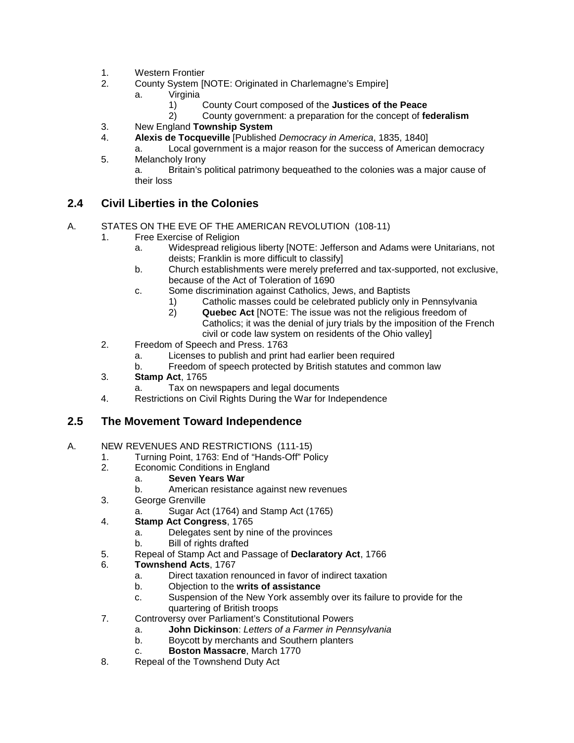- 1. Western Frontier
- 2. County System [NOTE: Originated in Charlemagne's Empire]
	- a. Virginia
		- 1) County Court composed of the **Justices of the Peace**
		- 2) County government: a preparation for the concept of **federalism**
- 3. New England **Township System**
	- 4. **Alexis de Tocqueville** [Published *Democracy in America*, 1835, 1840]
- a. Local government is a major reason for the success of American democracy 5. Melancholy Irony

a. Britain's political patrimony bequeathed to the colonies was a major cause of their loss

## **2.4 Civil Liberties in the Colonies**

#### A. STATES ON THE EVE OF THE AMERICAN REVOLUTION (108-11)

- 1. Free Exercise of Religion
	- a. Widespread religious liberty [NOTE: Jefferson and Adams were Unitarians, not deists; Franklin is more difficult to classify]
	- b. Church establishments were merely preferred and tax-supported, not exclusive, because of the Act of Toleration of 1690
	- c. Some discrimination against Catholics, Jews, and Baptists
		- 1) Catholic masses could be celebrated publicly only in Pennsylvania
		- 2) **Quebec Act** [NOTE: The issue was not the religious freedom of Catholics; it was the denial of jury trials by the imposition of the French civil or code law system on residents of the Ohio valley]
- 2. Freedom of Speech and Press. 1763
	- a. Licenses to publish and print had earlier been required
	- b. Freedom of speech protected by British statutes and common law
- 3. **Stamp Act**, 1765
	- a. Tax on newspapers and legal documents
- 4. Restrictions on Civil Rights During the War for Independence

## **2.5 The Movement Toward Independence**

#### A. NEW REVENUES AND RESTRICTIONS (111-15)

- 1. Turning Point, 1763: End of "Hands-Off" Policy<br>2. Economic Conditions in England
- Economic Conditions in England
	- a. **Seven Years War**
	- American resistance against new revenues
- 3. George Grenville
	- a. Sugar Act (1764) and Stamp Act (1765)
- 4. **Stamp Act Congress**, 1765
	- a. Delegates sent by nine of the provinces
	- b. Bill of rights drafted
- 5. Repeal of Stamp Act and Passage of **Declaratory Act**, 1766
- 6. **Townshend Acts**, 1767
	- a. Direct taxation renounced in favor of indirect taxation
	- b. Objection to the **writs of assistance**
	- c. Suspension of the New York assembly over its failure to provide for the quartering of British troops
- 7. Controversy over Parliament's Constitutional Powers
	- a. **John Dickinson**: *Letters of a Farmer in Pennsylvania*
	- b. Boycott by merchants and Southern planters
	- c. **Boston Massacre**, March 1770
- 8. Repeal of the Townshend Duty Act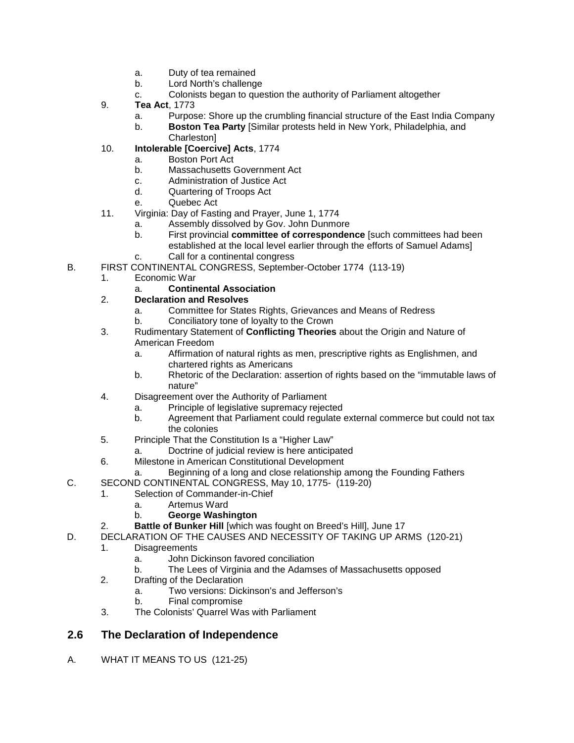- a. Duty of tea remained
- b. Lord North's challenge
- c. Colonists began to question the authority of Parliament altogether
- 9. **Tea Act**, 1773
	- a. Purpose: Shore up the crumbling financial structure of the East India Company
	- b. **Boston Tea Party** [Similar protests held in New York, Philadelphia, and Charleston]
- 10. **Intolerable [Coercive] Acts**, 1774
	- a. Boston Port Act<br>b. Massachusetts (
	- Massachusetts Government Act
	- c. Administration of Justice Act
	- d. Quartering of Troops Act
	- e. Quebec Act
- 11. Virginia: Day of Fasting and Prayer, June 1, 1774
	- a. Assembly dissolved by Gov. John Dunmore
	- b. First provincial **committee of correspondence** [such committees had been established at the local level earlier through the efforts of Samuel Adams]
	- c. Call for a continental congress
- B. FIRST CONTINENTAL CONGRESS, September-October 1774 (113-19)
	- 1. Economic War
		- a. **Continental Association**
	- 2. **Declaration and Resolves**
		- a. Committee for States Rights, Grievances and Means of Redress
		- b. Conciliatory tone of loyalty to the Crown
	- 3. Rudimentary Statement of **Conflicting Theories** about the Origin and Nature of American Freedom
		- a. Affirmation of natural rights as men, prescriptive rights as Englishmen, and chartered rights as Americans
		- b. Rhetoric of the Declaration: assertion of rights based on the "immutable laws of nature"
	- 4. Disagreement over the Authority of Parliament
		- a. Principle of legislative supremacy rejected
		- b. Agreement that Parliament could regulate external commerce but could not tax the colonies
	- 5. Principle That the Constitution Is a "Higher Law"
		- a. Doctrine of judicial review is here anticipated
	- 6. Milestone in American Constitutional Development
		- Beginning of a long and close relationship among the Founding Fathers
- C. SECOND CONTINENTAL CONGRESS, May 10, 1775- (119-20)
	- 1. Selection of Commander-in-Chief
		- a. Artemus Ward
			- b. **George Washington**
	- 2. **Battle of Bunker Hill** [which was fought on Breed's Hill], June 17
- D. DECLARATION OF THE CAUSES AND NECESSITY OF TAKING UP ARMS (120-21)
	- 1. Disagreements
		- a. John Dickinson favored conciliation
		- b. The Lees of Virginia and the Adamses of Massachusetts opposed
	- 2. Drafting of the Declaration
		- a. Two versions: Dickinson's and Jefferson's
		- b. Final compromise
	- 3. The Colonists' Quarrel Was with Parliament

## **2.6 The Declaration of Independence**

A. WHAT IT MEANS TO US (121-25)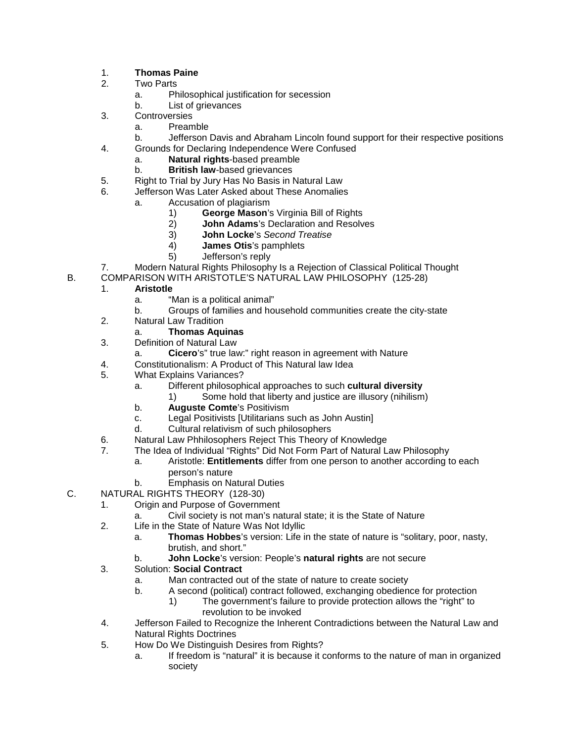#### 1. **Thomas Paine**

- 2. Two Parts
	- a. Philosophical justification for secession
	- b. List of grievances
- 3. Controversies
	- a. Preamble
- b. Jefferson Davis and Abraham Lincoln found support for their respective positions
- 4. Grounds for Declaring Independence Were Confused
	- a. **Natural rights**-based preamble
	- b. **British law**-based grievances
- 5. Right to Trial by Jury Has No Basis in Natural Law
- 6. Jefferson Was Later Asked about These Anomalies
	- a. Accusation of plagiarism
		- 1) **George Mason**'s Virginia Bill of Rights<br>2) **John Adams**'s Declaration and Resolv
		- 2) **John Adams**'s Declaration and Resolves<br>3) **John Locke**'s Second Treatise
		- 3) **John Locke**'s *Second Treatise*
		- 4) **James Otis**'s pamphlets
		- 5) Jefferson's reply
- 7. Modern Natural Rights Philosophy Is a Rejection of Classical Political Thought
- B. COMPARISON WITH ARISTOTLE'S NATURAL LAW PHILOSOPHY (125-28)

#### 1. **Aristotle**

- a. "Man is a political animal"
- b. Groups of families and household communities create the city-state
- 2. Natural Law Tradition
	- a. **Thomas Aquinas**
- 3. Definition of Natural Law
- a. **Cicero**'s" true law:" right reason in agreement with Nature
- 4. Constitutionalism: A Product of This Natural law Idea
- 5. What Explains Variances?
	- a. Different philosophical approaches to such **cultural diversity**
		- 1) Some hold that liberty and justice are illusory (nihilism)
	- b. **Auguste Comte**'s Positivism
	- c. Legal Positivists [Utilitarians such as John Austin]<br>d. Cultural relativism of such philosophers
	- Cultural relativism of such philosophers
- 6. Natural Law Phhilosophers Reject This Theory of Knowledge
- 7. The Idea of Individual "Rights" Did Not Form Part of Natural Law Philosophy
	- a. Aristotle: **Entitlements** differ from one person to another according to each person's nature
	- b. Emphasis on Natural Duties
- C. NATURAL RIGHTS THEORY (128-30)
	- 1. Origin and Purpose of Government
		- a. Civil society is not man's natural state; it is the State of Nature
	- 2. Life in the State of Nature Was Not Idyllic
		- a. **Thomas Hobbes**'s version: Life in the state of nature is "solitary, poor, nasty, brutish, and short."
			- b. **John Locke**'s version: People's **natural rights** are not secure
	- 3. Solution: **Social Contract**
		- a. Man contracted out of the state of nature to create society
		- b. A second (political) contract followed, exchanging obedience for protection
			- 1) The government's failure to provide protection allows the "right" to revolution to be invoked
	- 4. Jefferson Failed to Recognize the Inherent Contradictions between the Natural Law and Natural Rights Doctrines
	- 5. How Do We Distinguish Desires from Rights?
		- a. If freedom is "natural" it is because it conforms to the nature of man in organized society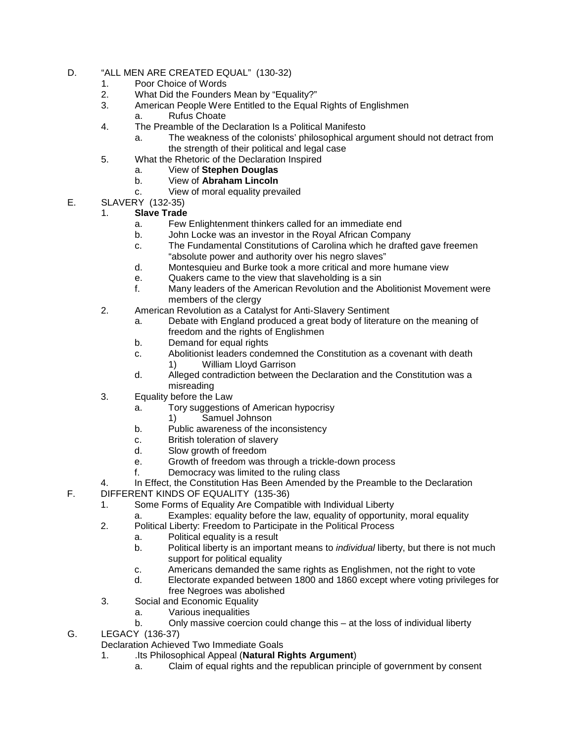- D. "ALL MEN ARE CREATED EQUAL" (130-32)
	- 1. Poor Choice of Words
	- 2. What Did the Founders Mean by "Equality?"<br>3. American People Were Entitled to the Equal
		- American People Were Entitled to the Equal Rights of Englishmen
		- a. Rufus Choate
	- 4. The Preamble of the Declaration Is a Political Manifesto
		- a. The weakness of the colonists' philosophical argument should not detract from the strength of their political and legal case
	- 5. What the Rhetoric of the Declaration Inspired
		- a. View of **Stephen Douglas**
		- b. View of **Abraham Lincoln**
		- c. View of moral equality prevailed
- E. SLAVERY (132-35)

#### 1. **Slave Trade**

- a. Few Enlightenment thinkers called for an immediate end
- b. John Locke was an investor in the Royal African Company
- c. The Fundamental Constitutions of Carolina which he drafted gave freemen "absolute power and authority over his negro slaves"
- d. Montesquieu and Burke took a more critical and more humane view
- e. Quakers came to the view that slaveholding is a sin<br>f. Many leaders of the American Revolution and the Al
- Many leaders of the American Revolution and the Abolitionist Movement were members of the clergy
- 2. American Revolution as a Catalyst for Anti-Slavery Sentiment
	- a. Debate with England produced a great body of literature on the meaning of freedom and the rights of Englishmen
	- b. Demand for equal rights
	- c. Abolitionist leaders condemned the Constitution as a covenant with death
		- 1) William Lloyd Garrison
	- d. Alleged contradiction between the Declaration and the Constitution was a misreading
- 3. Equality before the Law
	- a. Tory suggestions of American hypocrisy
		- 1) Samuel Johnson
	- b. Public awareness of the inconsistency
	- c. British toleration of slavery<br>d. Slow growth of freedom
	- Slow growth of freedom
	- e. Growth of freedom was through a trickle-down process
	- f. Democracy was limited to the ruling class
- 4. In Effect, the Constitution Has Been Amended by the Preamble to the Declaration
- F. DIFFERENT KINDS OF EQUALITY (135-36)
	- 1. Some Forms of Equality Are Compatible with Individual Liberty
		- a. Examples: equality before the law, equality of opportunity, moral equality
	- 2. Political Liberty: Freedom to Participate in the Political Process
		- a. Political equality is a result
			- b. Political liberty is an important means to *individual* liberty, but there is not much support for political equality
			- c. Americans demanded the same rights as Englishmen, not the right to vote
		- d. Electorate expanded between 1800 and 1860 except where voting privileges for free Negroes was abolished
	- 3. Social and Economic Equality
		- a. Various inequalities
			- b. Only massive coercion could change this at the loss of individual liberty
- G. LEGACY (136-37)
	- Declaration Achieved Two Immediate Goals<br>1. **In the Philosophical Appeal (Natural Ri** 
		- 1. .Its Philosophical Appeal (**Natural Rights Argument**)
			- a. Claim of equal rights and the republican principle of government by consent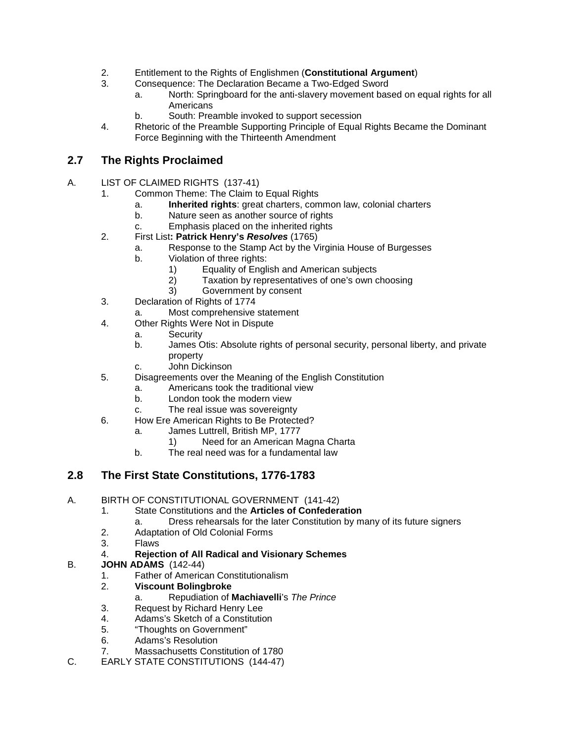- 2. Entitlement to the Rights of Englishmen (**Constitutional Argument**)
- 3. Consequence: The Declaration Became a Two-Edged Sword
	- a. North: Springboard for the anti-slavery movement based on equal rights for all **Americans**
	- b. South: Preamble invoked to support secession
- 4. Rhetoric of the Preamble Supporting Principle of Equal Rights Became the Dominant Force Beginning with the Thirteenth Amendment

# **2.7 The Rights Proclaimed**

- A. LIST OF CLAIMED RIGHTS (137-41)
	- 1. Common Theme: The Claim to Equal Rights
		- a. **Inherited rights**: great charters, common law, colonial charters
		- b. Nature seen as another source of rights
		- c. Emphasis placed on the inherited rights
	- 2. First List**: Patrick Henry's** *Resolves* (1765)
		- a. Response to the Stamp Act by the Virginia House of Burgesses
		- b. Violation of three rights:
			- 1) Equality of English and American subjects
			- 2) Taxation by representatives of one's own choosing
			- Government by consent
	- 3. Declaration of Rights of 1774
		- a. Most comprehensive statement
	- 4. Other Rights Were Not in Dispute
		- a. Security
			- b. James Otis: Absolute rights of personal security, personal liberty, and private property
			- c. John Dickinson
	- 5. Disagreements over the Meaning of the English Constitution
		- a. Americans took the traditional view
		- b. London took the modern view
		- c. The real issue was sovereignty
	- 6. How Ere American Rights to Be Protected?
		- a. James Luttrell, British MP, 1777
			- 1) Need for an American Magna Charta
		- b. The real need was for a fundamental law

# **2.8 The First State Constitutions, 1776-1783**

#### A. BIRTH OF CONSTITUTIONAL GOVERNMENT (141-42)

- 1. State Constitutions and the **Articles of Confederation**
	- a. Dress rehearsals for the later Constitution by many of its future signers
- 2. Adaptation of Old Colonial Forms
- 3. Flaws
- 4. **Rejection of All Radical and Visionary Schemes**

#### B. **JOHN ADAMS** (142-44)

- 1. Father of American Constitutionalism
- 2. **Viscount Bolingbroke**
	- a. Repudiation of **Machiavelli**'s *The Prince*
- 3. Request by Richard Henry Lee<br>4. Adams's Sketch of a Constitution
- 4. Adams's Sketch of a Constitution
- 5. "Thoughts on Government"
- 6. Adams's Resolution
- 7. Massachusetts Constitution of 1780
- C. EARLY STATE CONSTITUTIONS (144-47)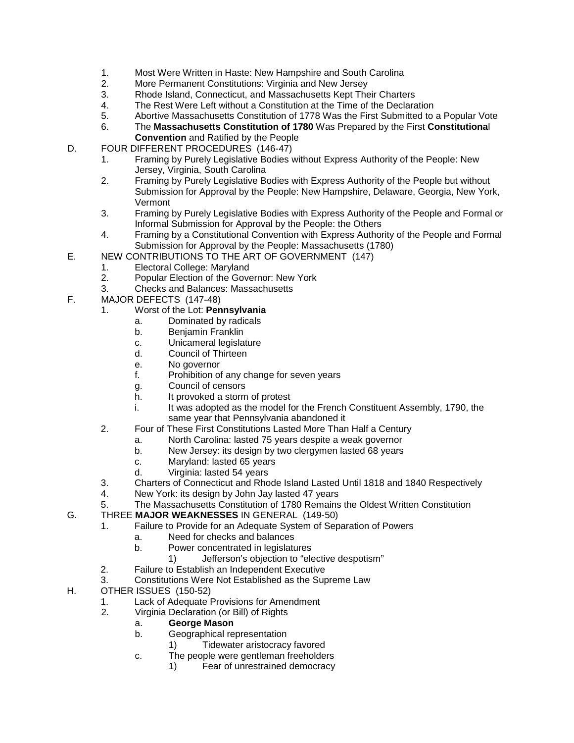- 1. Most Were Written in Haste: New Hampshire and South Carolina<br>2. More Permanent Constitutions: Virginia and New Jersey
- 2. More Permanent Constitutions: Virginia and New Jersey
- 3. Rhode Island, Connecticut, and Massachusetts Kept Their Charters<br>4. The Rest Were Left without a Constitution at the Time of the Declara
- The Rest Were Left without a Constitution at the Time of the Declaration
- 5. Abortive Massachusetts Constitution of 1778 Was the First Submitted to a Popular Vote
- 6. The **Massachusetts Constitution of 1780** Was Prepared by the First **Constitutiona**l
- **Convention** and Ratified by the People
- D. FOUR DIFFERENT PROCEDURES (146-47)
	- 1. Framing by Purely Legislative Bodies without Express Authority of the People: New Jersey, Virginia, South Carolina
	- 2. Framing by Purely Legislative Bodies with Express Authority of the People but without Submission for Approval by the People: New Hampshire, Delaware, Georgia, New York, Vermont
	- 3. Framing by Purely Legislative Bodies with Express Authority of the People and Formal or Informal Submission for Approval by the People: the Others
	- 4. Framing by a Constitutional Convention with Express Authority of the People and Formal Submission for Approval by the People: Massachusetts (1780)
- E. NEW CONTRIBUTIONS TO THE ART OF GOVERNMENT (147)
	- 1. Electoral College: Maryland
	- 2. Popular Election of the Governor: New York
	- 3. Checks and Balances: Massachusetts
- F. MAJOR DEFECTS (147-48)
	- 1. Worst of the Lot: **Pennsylvania**
		- a. Dominated by radicals
		- b. Benjamin Franklin
		- c. Unicameral legislature
		- d. Council of Thirteen
		- e. No governor
		- f. Prohibition of any change for seven years
		- g. Council of censors<br>h. It provoked a storm
		- It provoked a storm of protest
		- i. It was adopted as the model for the French Constituent Assembly, 1790, the same year that Pennsylvania abandoned it
	- 2. Four of These First Constitutions Lasted More Than Half a Century
		- a. North Carolina: lasted 75 years despite a weak governor
		- b. New Jersey: its design by two clergymen lasted 68 years
		- c. Maryland: lasted 65 years
		- d. Virginia: lasted 54 years
	- 3. Charters of Connecticut and Rhode Island Lasted Until 1818 and 1840 Respectively
	- 4. New York: its design by John Jay lasted 47 years
	- 5. The Massachusetts Constitution of 1780 Remains the Oldest Written Constitution

#### G. THREE **MAJOR WEAKNESSES** IN GENERAL (149-50)

- 1. Failure to Provide for an Adequate System of Separation of Powers
	- a. Need for checks and balances
	- b. Power concentrated in legislatures
		- 1) Jefferson's objection to "elective despotism"
- 2. Failure to Establish an Independent Executive
- 3. Constitutions Were Not Established as the Supreme Law
- H. OTHER ISSUES (150-52)
	- 1. Lack of Adequate Provisions for Amendment
	- 2. Virginia Declaration (or Bill) of Rights
		- a. **George Mason**
		- b. Geographical representation
			- 1) Tidewater aristocracy favored
		- c. The people were gentleman freeholders
			- 1) Fear of unrestrained democracy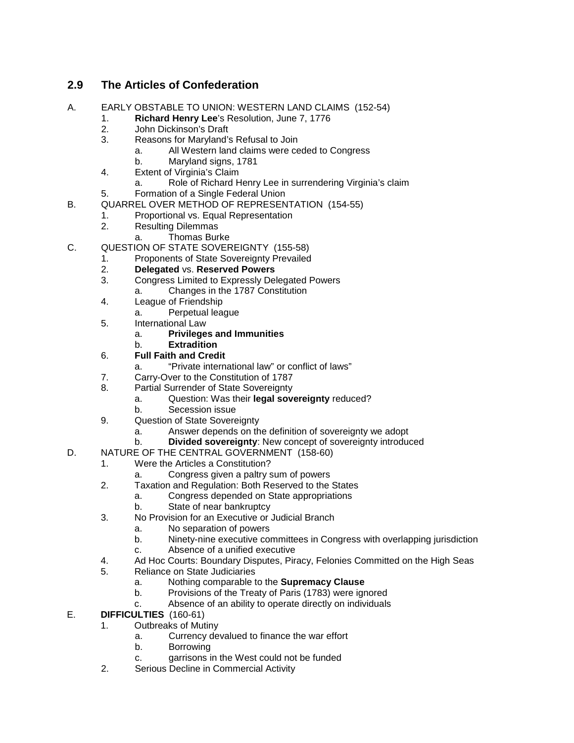# **2.9 The Articles of Confederation**

- A. EARLY OBSTABLE TO UNION: WESTERN LAND CLAIMS (152-54)
	- 1. **Richard Henry Lee**'s Resolution, June 7, 1776
		- 2. John Dickinson's Draft<br>3. Reasons for Maryland's
		- 3. Reasons for Maryland's Refusal to Join
			- a. All Western land claims were ceded to Congress
				- b. Maryland signs, 1781
		- 4. Extent of Virginia's Claim
			- a. Role of Richard Henry Lee in surrendering Virginia's claim
		- 5. Formation of a Single Federal Union
- B. QUARREL OVER METHOD OF REPRESENTATION (154-55)
	- 1. Proportional vs. Equal Representation<br>2. Resulting Dilemmas
		- **Resulting Dilemmas** 
			- a. Thomas Burke
- C. QUESTION OF STATE SOVEREIGNTY (155-58)
	- 1. Proponents of State Sovereignty Prevailed<br>2. **Delegated** vs. Reserved Powers
		- 2. **Delegated** vs. **Reserved Powers**
		- 3. Congress Limited to Expressly Delegated Powers
		- a. Changes in the 1787 Constitution
		- 4. League of Friendship
			- a. Perpetual league
		- 5. International Law
			- a. **Privileges and Immunities**
			- b. **Extradition**
		- 6. **Full Faith and Credit**
			- "Private international law" or conflict of laws"
		- 7. Carry-Over to the Constitution of 1787
		- 8. Partial Surrender of State Sovereignty
			- a. Question: Was their **legal sovereignty** reduced?
				- b. Secession issue
		- 9. Question of State Sovereignty
			- a. Answer depends on the definition of sovereignty we adopt
			- b. **Divided sovereignty**: New concept of sovereignty introduced
- D. NATURE OF THE CENTRAL GOVERNMENT (158-60)
	- 1. Were the Articles a Constitution?
		- a. Congress given a paltry sum of powers
	- 2. Taxation and Regulation: Both Reserved to the States
		- a. Congress depended on State appropriations
		- b. State of near bankruptcy
	- 3. No Provision for an Executive or Judicial Branch
		- a. No separation of powers
		- b. Ninety-nine executive committees in Congress with overlapping jurisdiction
		- c. Absence of a unified executive
	- 4. Ad Hoc Courts: Boundary Disputes, Piracy, Felonies Committed on the High Seas
	- 5. Reliance on State Judiciaries
		- a. Nothing comparable to the **Supremacy Clause**
		- b. Provisions of the Treaty of Paris (1783) were ignored
		- c. Absence of an ability to operate directly on individuals
- E. **DIFFICULTIES** (160-61)
	- 1. Outbreaks of Mutiny
		- a. Currency devalued to finance the war effort
		- b. Borrowing
		- c. garrisons in the West could not be funded
	- 2. Serious Decline in Commercial Activity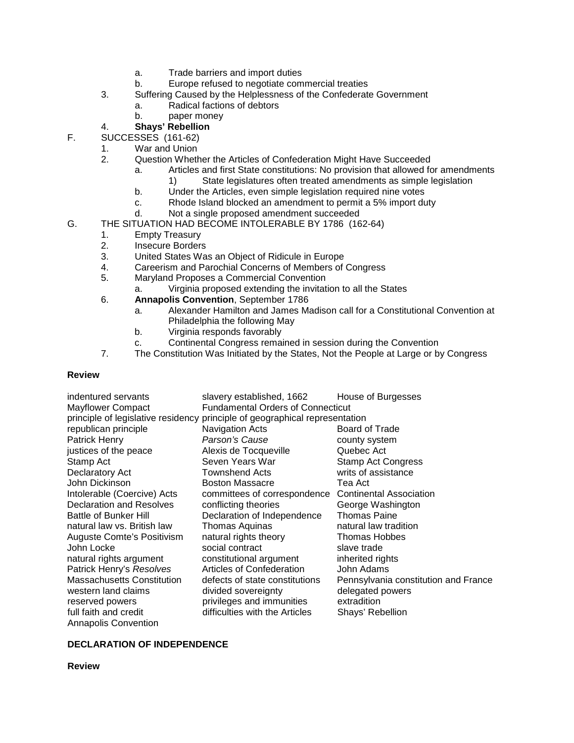- a. Trade barriers and import duties
- b. Europe refused to negotiate commercial treaties
- 3. Suffering Caused by the Helplessness of the Confederate Government
	- a. Radical factions of debtors
		- b. paper money

#### 4. **Shays' Rebellion**

- F. SUCCESSES (161-62)
	- 1. War and Union
	- 2. Question Whether the Articles of Confederation Might Have Succeeded
		- a. Articles and first State constitutions: No provision that allowed for amendments
			- 1) State legislatures often treated amendments as simple legislation
		- b. Under the Articles, even simple legislation required nine votes
		- c. Rhode Island blocked an amendment to permit a 5% import duty
		- d. Not a single proposed amendment succeeded
- G. THE SITUATION HAD BECOME INTOLERABLE BY 1786 (162-64)
	- 1. Empty Treasury
	- 2. Insecure Borders
	- 3. United States Was an Object of Ridicule in Europe
	- 4. Careerism and Parochial Concerns of Members of Congress
	- 5. Maryland Proposes a Commercial Convention
		- a. Virginia proposed extending the invitation to all the States
	- 6. **Annapolis Convention**, September 1786
		- a. Alexander Hamilton and James Madison call for a Constitutional Convention at Philadelphia the following May
		- b. Virginia responds favorably
		- c. Continental Congress remained in session during the Convention
	- 7. The Constitution Was Initiated by the States, Not the People at Large or by Congress

#### **Review**

| indentured servants               | slavery established, 1662                                                   | House of Burgesses                   |  |
|-----------------------------------|-----------------------------------------------------------------------------|--------------------------------------|--|
| <b>Mayflower Compact</b>          | <b>Fundamental Orders of Connecticut</b>                                    |                                      |  |
|                                   | principle of legislative residency principle of geographical representation |                                      |  |
| republican principle              | Navigation Acts                                                             | <b>Board of Trade</b>                |  |
| Patrick Henry                     | Parson's Cause                                                              | county system                        |  |
| justices of the peace             | Alexis de Tocqueville                                                       | Quebec Act                           |  |
| Stamp Act                         | Seven Years War                                                             | <b>Stamp Act Congress</b>            |  |
| Declaratory Act                   | <b>Townshend Acts</b>                                                       | writs of assistance                  |  |
| John Dickinson                    | <b>Boston Massacre</b>                                                      | Tea Act                              |  |
| Intolerable (Coercive) Acts       | committees of correspondence                                                | <b>Continental Association</b>       |  |
| <b>Declaration and Resolves</b>   | conflicting theories                                                        | George Washington                    |  |
| <b>Battle of Bunker Hill</b>      | Declaration of Independence                                                 | <b>Thomas Paine</b>                  |  |
| natural law vs. British law       | Thomas Aquinas                                                              | natural law tradition                |  |
| Auguste Comte's Positivism        | natural rights theory                                                       | <b>Thomas Hobbes</b>                 |  |
| John Locke                        | social contract                                                             | slave trade                          |  |
| natural rights argument           | constitutional argument                                                     | inherited rights                     |  |
| Patrick Henry's Resolves          | <b>Articles of Confederation</b>                                            | John Adams                           |  |
| <b>Massachusetts Constitution</b> | defects of state constitutions                                              | Pennsylvania constitution and France |  |
| western land claims               | divided sovereignty                                                         | delegated powers                     |  |
| reserved powers                   | privileges and immunities                                                   | extradition                          |  |
| full faith and credit             | difficulties with the Articles                                              | Shays' Rebellion                     |  |
| <b>Annapolis Convention</b>       |                                                                             |                                      |  |

#### **DECLARATION OF INDEPENDENCE**

#### **Review**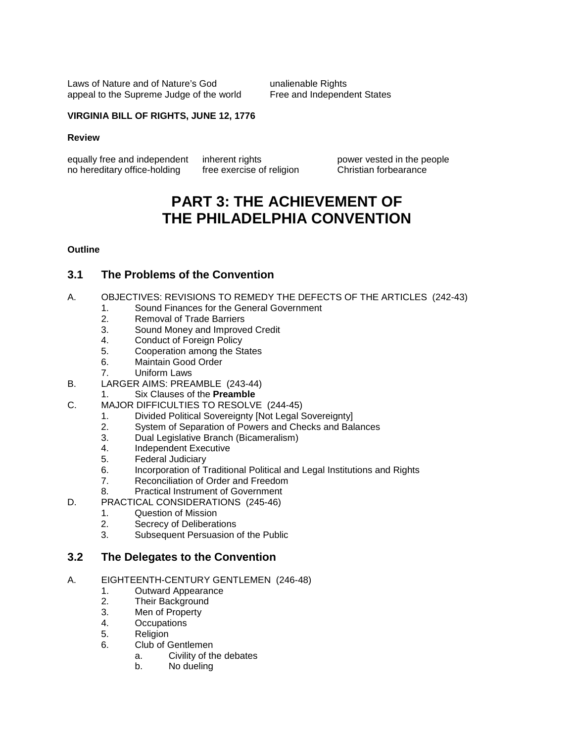Laws of Nature and of Nature's God Taman unalienable Rights appeal to the Supreme Judge of the world Free and Independent States

#### **VIRGINIA BILL OF RIGHTS, JUNE 12, 1776**

#### **Review**

equally free and independent inherent rights power vested in the people<br>no hereditary office-holding free exercise of religion Christian forbearance no hereditary office-holding

# **PART 3: THE ACHIEVEMENT OF THE PHILADELPHIA CONVENTION**

#### **Outline**

#### **3.1 The Problems of the Convention**

- A. OBJECTIVES: REVISIONS TO REMEDY THE DEFECTS OF THE ARTICLES (242-43)
	- 1. Sound Finances for the General Government
	- 2. Removal of Trade Barriers<br>3. Sound Monev and Improve
	- 3. Sound Money and Improved Credit<br>4. Conduct of Foreign Policy
	- Conduct of Foreign Policy
	- 5. Cooperation among the States<br>6. Maintain Good Order
	- 6. Maintain Good Order
	- 7. Uniform Laws
- B. LARGER AIMS: PREAMBLE (243-44)
	- 1. Six Clauses of the **Preamble**
- C. MAJOR DIFFICULTIES TO RESOLVE (244-45)
	- 1. Divided Political Sovereignty [Not Legal Sovereignty]
	- 2. System of Separation of Powers and Checks and Balances
	- 3. Dual Legislative Branch (Bicameralism)
	- 4. Independent Executive<br>5. Federal Judiciary
	- 5. Federal Judiciary
	- 6. Incorporation of Traditional Political and Legal Institutions and Rights
	- 7. Reconciliation of Order and Freedom
	- 8. Practical Instrument of Government
- D. PRACTICAL CONSIDERATIONS (245-46)
	- 1. Question of Mission
	- 2. Secrecy of Deliberations
	- 3. Subsequent Persuasion of the Public

#### **3.2 The Delegates to the Convention**

- A. EIGHTEENTH-CENTURY GENTLEMEN (246-48)
	- 1. Outward Appearance
	- 2. Their Background
	- 3. Men of Property<br>4. **Occupations**
	- **Occupations**
	- 5. Religion
	- 6. Club of Gentlemen
		- a. Civility of the debates
		- b. No dueling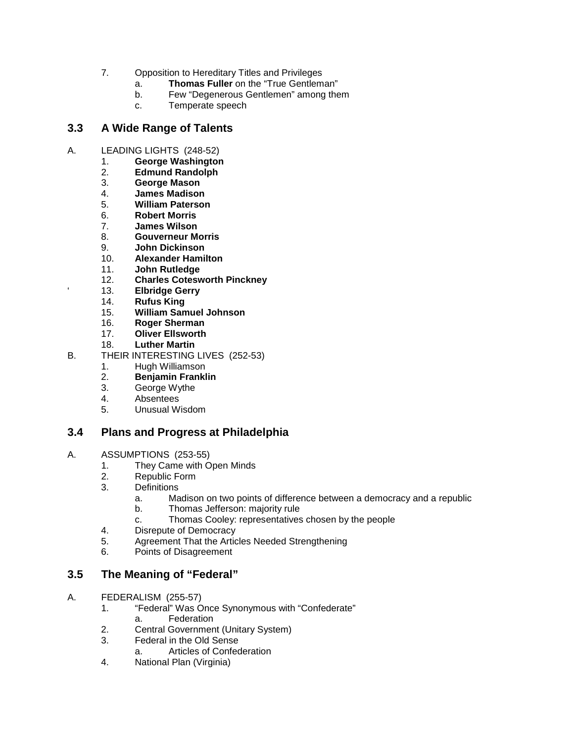- 7. Opposition to Hereditary Titles and Privileges
	- a. **Thomas Fuller** on the "True Gentleman"
	- b. Few "Degenerous Gentlemen" among them<br>c. Temperate speech
	- Temperate speech

## **3.3 A Wide Range of Talents**

- A. LEADING LIGHTS (248-52)
	- 1. **George Washington**
	- 2. **Edmund Randolph**
	- 3. **George Mason**
	- 4. **James Madison**
	- 5. **William Paterson**
	- 6. **Robert Morris**
	- 7. **James Wilson**
	- 8. **Gouverneur Morris**
	- 9. **John Dickinson**
	- 10. **Alexander Hamilton**
	- 11. **John Rutledge**
	- 12. **Charles Cotesworth Pinckney**
	- 13. **Elbridge Gerry**<br>14. **Rufus King**
	- 14. **Rufus King**
	- 15. **William Samuel Johnson**
	- 16. **Roger Sherman**
	- 17. **Oliver Ellsworth**
	- 18. **Luther Martin**
- B. THEIR INTERESTING LIVES (252-53)
	- 1. Hugh Williamson
		- 2. **Benjamin Franklin**
	- George Wythe
	- 4. Absentees
	- 5. Unusual Wisdom

## **3.4 Plans and Progress at Philadelphia**

- A. ASSUMPTIONS (253-55)
	- 1. They Came with Open Minds
	- 2. Republic Form<br>3. Definitions
	- Definitions
		- a. Madison on two points of difference between a democracy and a republic
		- b. Thomas Jefferson: majority rule
		- c. Thomas Cooley: representatives chosen by the people
	- 4. Disrepute of Democracy
	- 5. Agreement That the Articles Needed Strengthening<br>6. Points of Disagreement
	- Points of Disagreement

# **3.5 The Meaning of "Federal"**

- A. FEDERALISM (255-57)
	- 1. "Federal" Was Once Synonymous with "Confederate" a. Federation
	- 2. Central Government (Unitary System)
	- 3. Federal in the Old Sense
		- a. Articles of Confederation
	- 4. National Plan (Virginia)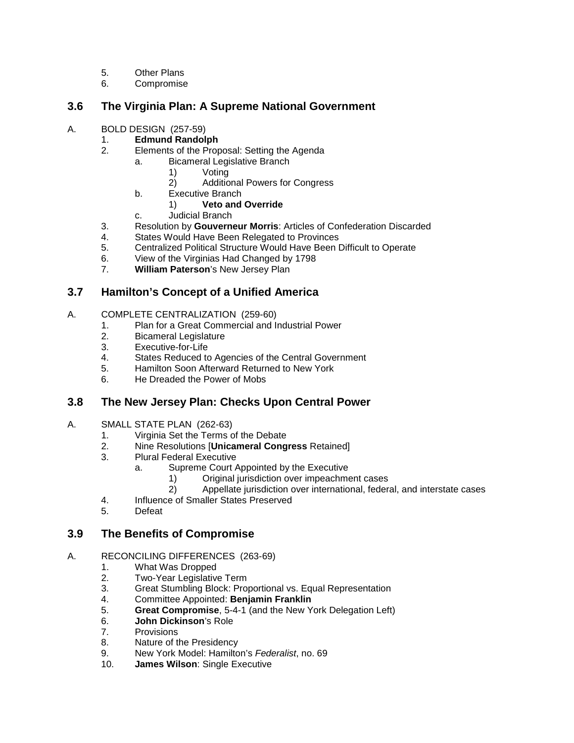- 5. Other Plans
- 6. Compromise

## **3.6 The Virginia Plan: A Supreme National Government**

- A. BOLD DESIGN (257-59)<br>1. **Edmund Randol** 
	- 1. **Edmund Randolph**
	- 2. Elements of the Proposal: Setting the Agenda
		- a. Bicameral Legislative Branch
			- 1) Voting
			- 2) Additional Powers for Congress
			- b. Executive Branch
				- 1) **Veto and Override**
			- c. Judicial Branch
	- 3. Resolution by **Gouverneur Morris**: Articles of Confederation Discarded
	- States Would Have Been Relegated to Provinces
	- 5. Centralized Political Structure Would Have Been Difficult to Operate
	- 6. View of the Virginias Had Changed by 1798
	- 7. **William Paterson**'s New Jersey Plan

# **3.7 Hamilton's Concept of a Unified America**

- A. COMPLETE CENTRALIZATION (259-60)
	- 1. Plan for a Great Commercial and Industrial Power
	- **Bicameral Legislature**
	- 3. Executive-for-Life<br>4. States Reduced to
	- States Reduced to Agencies of the Central Government
	- 5. Hamilton Soon Afterward Returned to New York
	- 6. He Dreaded the Power of Mobs

## **3.8 The New Jersey Plan: Checks Upon Central Power**

- A. SMALL STATE PLAN (262-63)
	- 1. Virginia Set the Terms of the Debate
	- 2. Nine Resolutions [**Unicameral Congress** Retained]
	- 3. Plural Federal Executive
		- a. Supreme Court Appointed by the Executive
			- 1) Original jurisdiction over impeachment cases<br>2) Appellate jurisdiction over international, federa
			- 2) Appellate jurisdiction over international, federal, and interstate cases
	- 4. Influence of Smaller States Preserved
	- 5. Defeat

## **3.9 The Benefits of Compromise**

- A. RECONCILING DIFFERENCES (263-69)
	- 1. What Was Dropped
	- 2. Two-Year Legislative Term<br>3. Great Stumbling Block: Pro
	- Great Stumbling Block: Proportional vs. Equal Representation
	- 4. Committee Appointed: **Benjamin Franklin**
	- 5. **Great Compromise**, 5-4-1 (and the New York Delegation Left)
	- 6. **John Dickinson**'s Role
	- 7. Provisions
	- 8. Nature of the Presidency
	- 9. New York Model: Hamilton's *Federalist*, no. 69
	- 10. **James Wilson**: Single Executive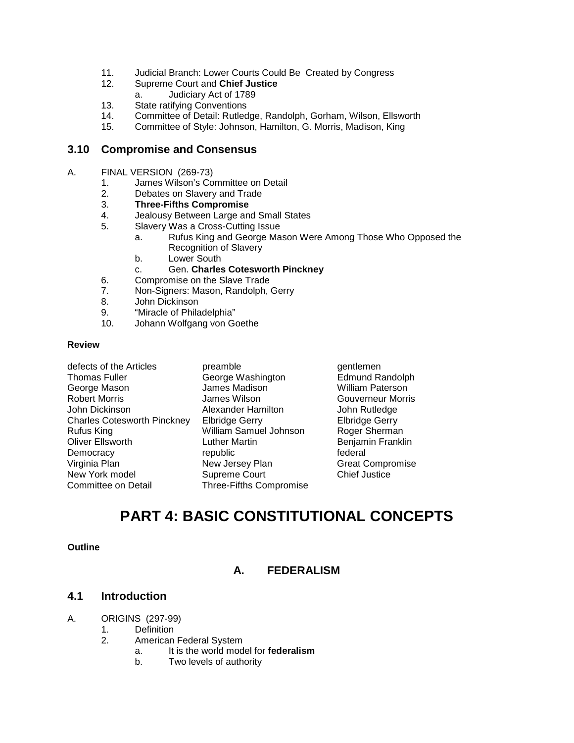- 11. Judicial Branch: Lower Courts Could Be Created by Congress
- 12. Supreme Court and **Chief Justice**
	- a. Judiciary Act of 1789
- 13. State ratifying Conventions
- 14. Committee of Detail: Rutledge, Randolph, Gorham, Wilson, Ellsworth
- 15. Committee of Style: Johnson, Hamilton, G. Morris, Madison, King

#### **3.10 Compromise and Consensus**

- A. FINAL VERSION (269-73)
	- 1. James Wilson's Committee on Detail
	- 2. Debates on Slavery and Trade<br>3. Three-Fifths Compromise
	- 3. **Three-Fifths Compromise**
	- 4. Jealousy Between Large and Small States
	- 5. Slavery Was a Cross-Cutting Issue
		- a. Rufus King and George Mason Were Among Those Who Opposed the Recognition of Slavery
		- b. Lower South
		- c. Gen. **Charles Cotesworth Pinckney**
	- 6. Compromise on the Slave Trade<br>7. Non-Signers: Mason. Randolph.
	- 7. Non-Signers: Mason, Randolph, Gerry
	- John Dickinson
	- 9. "Miracle of Philadelphia"
	- 10. Johann Wolfgang von Goethe

#### **Review**

| defects of the Articles            | preamble                | gentler |
|------------------------------------|-------------------------|---------|
| <b>Thomas Fuller</b>               | George Washington       | Edmun   |
| George Mason                       | James Madison           | William |
| <b>Robert Morris</b>               | James Wilson            | Gouve   |
| John Dickinson                     | Alexander Hamilton      | John R  |
| <b>Charles Cotesworth Pinckney</b> | <b>Elbridge Gerry</b>   | Elbridg |
| Rufus King                         | William Samuel Johnson  | Roger   |
| Oliver Ellsworth                   | <b>Luther Martin</b>    | Benjan  |
| Democracy                          | republic                | federal |
| Virginia Plan                      | New Jersey Plan         | Great 0 |
| New York model                     | <b>Supreme Court</b>    | Chief J |
| Committee on Detail                | Three-Fifths Compromise |         |
|                                    |                         |         |

preamble gentlemen<br>George Washington George Bahand Randolph George Washington<br>James Madison James Madison **Makilliam Paterson**<br>James Wilson **Makilliam Couverneur Morri** Alexander Hamilton **John Rutledge**<br> **Elbridge Gerry** Blbridge Gerry Elbridge Gerry William Samuel Johnson Roger Sherman Luther Martin **Chinamin Benjamin Franklin**<br> **Coliver Election Franklin**<br> **Collection** Federal New Jersey Plan Great Compromise<br>
Supreme Court
Supreme Court
Supreme Court
Supreme Court
Supreme Court
Supreme Court
Supreme Court
Supreme Court
Supreme Court
Supreme Court
Supreme Court
Supreme Court
Supreme Court
Suprem Supreme Court Three-Fifths Compromise

Gouverneur Morris

# **PART 4: BASIC CONSTITUTIONAL CONCEPTS**

#### **Outline**

#### **A. FEDERALISM**

#### **4.1 Introduction**

- A. ORIGINS (297-99)
	- 1. Definition
		- 2. American Federal System
			- a. It is the world model for **federalism**
			- b. Two levels of authority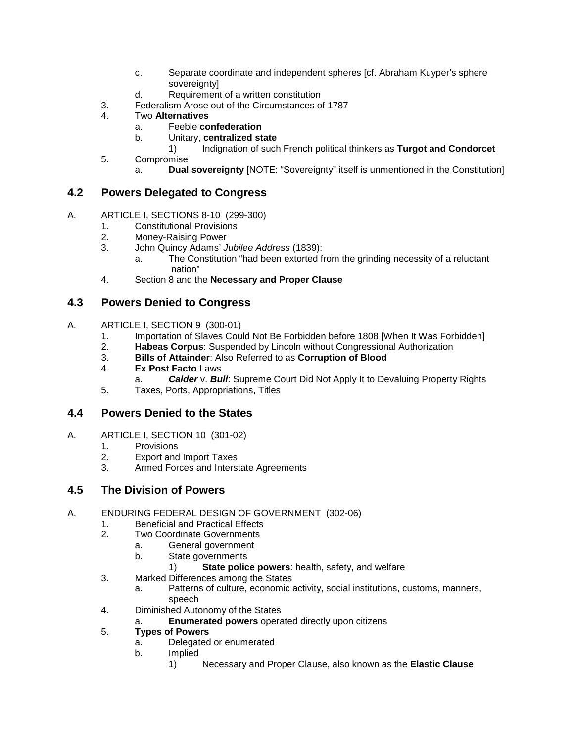- c. Separate coordinate and independent spheres [cf. Abraham Kuyper's sphere sovereignty]
- d. Requirement of a written constitution
- 3. Federalism Arose out of the Circumstances of 1787
- 4. Two **Alternatives**
	- a. Feeble **confederation**
	- b. Unitary, **centralized state**
		- 1) Indignation of such French political thinkers as **Turgot and Condorcet**
- 5. Compromise
	- a. **Dual sovereignty** [NOTE: "Sovereignty" itself is unmentioned in the Constitution]

#### **4.2 Powers Delegated to Congress**

- A. ARTICLE I, SECTIONS 8-10 (299-300)
	- 1. Constitutional Provisions<br>2. Money-Raising Power
	- Money-Raising Power
	- 3. John Quincy Adams' *Jubilee Address* (1839):
		- a. The Constitution "had been extorted from the grinding necessity of a reluctant nation"
	- 4. Section 8 and the **Necessary and Proper Clause**

## **4.3 Powers Denied to Congress**

- A. ARTICLE I, SECTION 9 (300-01)
	- 1. Importation of Slaves Could Not Be Forbidden before 1808 [When It Was Forbidden]
	- 2. **Habeas Corpus**: Suspended by Lincoln without Congressional Authorization
	- 3. **Bills of Attainder**: Also Referred to as **Corruption of Blood**
	- 4. **Ex Post Facto** Laws
		- a. *Calder* v. *Bull*: Supreme Court Did Not Apply It to Devaluing Property Rights
	- 5. Taxes, Ports, Appropriations, Titles

#### **4.4 Powers Denied to the States**

- A. ARTICLE I, SECTION 10 (301-02)
	- 1. Provisions<br>2. Export and
	- 2. Export and Import Taxes
	- 3. Armed Forces and Interstate Agreements

#### **4.5 The Division of Powers**

- A. ENDURING FEDERAL DESIGN OF GOVERNMENT (302-06)
	- 1. Beneficial and Practical Effects<br>2. Two Coordinate Governments
	- **Two Coordinate Governments** 
		- a. General government<br>b. State governments
			- State governments
				- 1) **State police powers**: health, safety, and welfare
	- 3. Marked Differences among the States
		- a. Patterns of culture, economic activity, social institutions, customs, manners, speech
	- 4. Diminished Autonomy of the States
		- **Enumerated powers** operated directly upon citizens

#### 5. **Types of Powers**

- a. Delegated or enumerated
- b. Implied
	- 1) Necessary and Proper Clause, also known as the **Elastic Clause**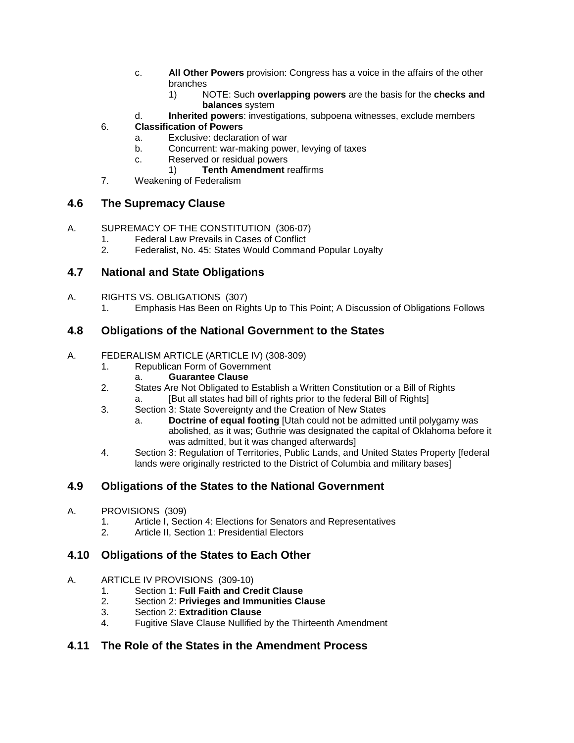- c. **All Other Powers** provision: Congress has a voice in the affairs of the other branches
	- 1) NOTE: Such **overlapping powers** are the basis for the **checks and balances** system
- d. **Inherited powers**: investigations, subpoena witnesses, exclude members

## 6. **Classification of Powers**

- a. Exclusive: declaration of war
- b. Concurrent: war-making power, levying of taxes
- c. Reserved or residual powers
	- 1) **Tenth Amendment** reaffirms
- 7. Weakening of Federalism

# **4.6 The Supremacy Clause**

- A. SUPREMACY OF THE CONSTITUTION (306-07)
	- 1. Federal Law Prevails in Cases of Conflict
	- 2. Federalist, No. 45: States Would Command Popular Loyalty

# **4.7 National and State Obligations**

- A. RIGHTS VS. OBLIGATIONS (307)
	- 1. Emphasis Has Been on Rights Up to This Point; A Discussion of Obligations Follows

# **4.8 Obligations of the National Government to the States**

- A. FEDERALISM ARTICLE (ARTICLE IV) (308-309)
	- 1. Republican Form of Government
		- a. **Guarantee Clause**
	- 2. States Are Not Obligated to Establish a Written Constitution or a Bill of Rights a. [But all states had bill of rights prior to the federal Bill of Rights]
	- 3. Section 3: State Sovereignty and the Creation of New States
		- a. **Doctrine of equal footing** [Utah could not be admitted until polygamy was abolished, as it was; Guthrie was designated the capital of Oklahoma before it was admitted, but it was changed afterwards]
	- 4. Section 3: Regulation of Territories, Public Lands, and United States Property [federal lands were originally restricted to the District of Columbia and military bases]

# **4.9 Obligations of the States to the National Government**

- A. PROVISIONS (309)
	- 1. Article I, Section 4: Elections for Senators and Representatives<br>2 Article II, Section 1: Presidential Flectors
	- Article II, Section 1: Presidential Electors

# **4.10 Obligations of the States to Each Other**

- A. ARTICLE IV PROVISIONS (309-10)
	- 1. Section 1: **Full Faith and Credit Clause**
	- 2. Section 2: **Privieges and Immunities Clause**
	- 3. Section 2: **Extradition Clause**
	- 4. Fugitive Slave Clause Nullified by the Thirteenth Amendment

# **4.11 The Role of the States in the Amendment Process**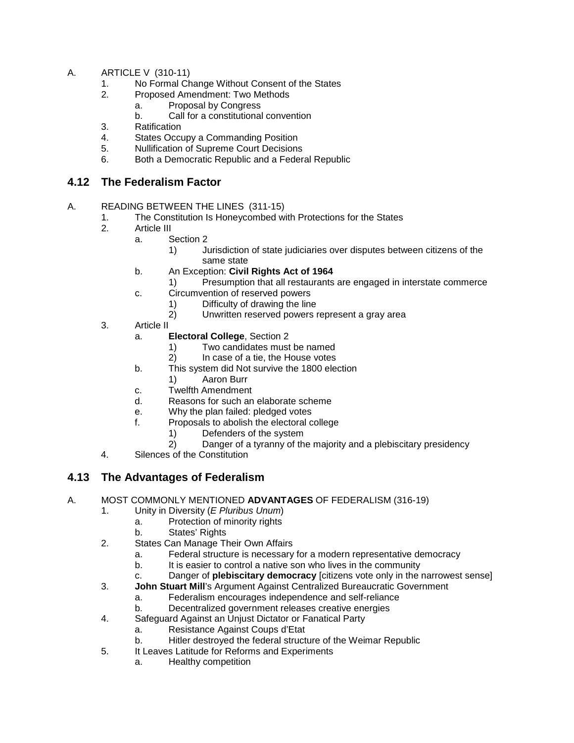- A. ARTICLE V (310-11)
	- 1. No Formal Change Without Consent of the States
	- 2. Proposed Amendment: Two Methods
		- a. Proposal by Congress
		- b. Call for a constitutional convention
	- 3. Ratification<br>4. States Occu
	- States Occupy a Commanding Position
	- 5. Nullification of Supreme Court Decisions
	- 6. Both a Democratic Republic and a Federal Republic

#### **4.12 The Federalism Factor**

- A. READING BETWEEN THE LINES (311-15)
	- 1. The Constitution Is Honeycombed with Protections for the States
		- Article III
			- a. Section 2
				- 1) Jurisdiction of state judiciaries over disputes between citizens of the same state
			- b. An Exception: **Civil Rights Act of 1964**
				- 1) Presumption that all restaurants are engaged in interstate commerce
			- c. Circumvention of reserved powers
				- 1) Difficulty of drawing the line
					- 2) Unwritten reserved powers represent a gray area
	- 3. Article II
		- a. **Electoral College**, Section 2
			- 1) Two candidates must be named<br>2) In case of a tie, the House votes
			- In case of a tie, the House votes
		- b. This system did Not survive the 1800 election
		- 1) Aaron Burr
		- c. Twelfth Amendment
		- d. Reasons for such an elaborate scheme
		- e. Why the plan failed: pledged votes<br>f. Proposals to abolish the electoral c
		- Proposals to abolish the electoral college
			- 1) Defenders of the system
			- 2) Danger of a tyranny of the majority and a plebiscitary presidency
	- 4. Silences of the Constitution

## **4.13 The Advantages of Federalism**

- A. MOST COMMONLY MENTIONED **ADVANTAGES** OF FEDERALISM (316-19)
	- 1. Unity in Diversity (*E Pluribus Unum*)
		- a. Protection of minority rights
			- b. States' Rights
	- 2. States Can Manage Their Own Affairs
		- a. Federal structure is necessary for a modern representative democracy
		- b. It is easier to control a native son who lives in the community
		- c. Danger of **plebiscitary democracy** [citizens vote only in the narrowest sense]
	- 3. **John Stuart Mill**'s Argument Against Centralized Bureaucratic Government
		- a. Federalism encourages independence and self-reliance
			- b. Decentralized government releases creative energies
	- 4. Safeguard Against an Unjust Dictator or Fanatical Party
		- a. Resistance Against Coups d'Etat
		- b. Hitler destroyed the federal structure of the Weimar Republic
	- 5. It Leaves Latitude for Reforms and Experiments
		- a. Healthy competition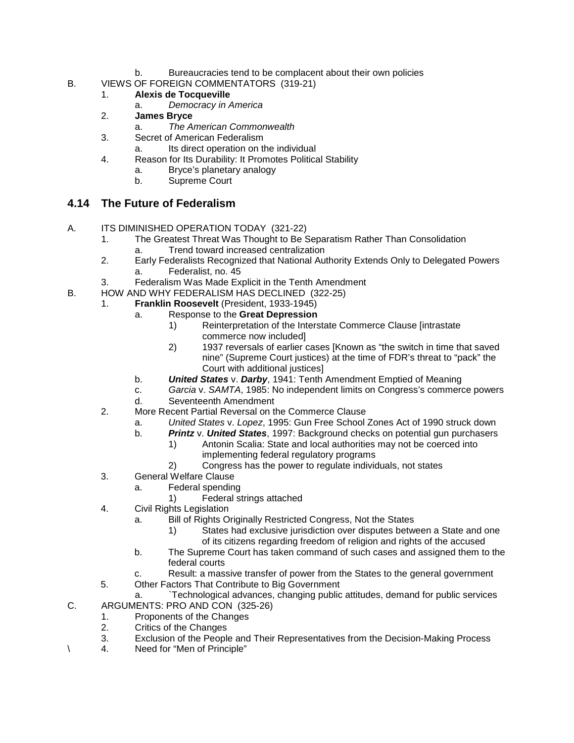- b. Bureaucracies tend to be complacent about their own policies
- B. VIEWS OF FOREIGN COMMENTATORS (319-21)
	- 1. **Alexis de Tocqueville**
		- a. *Democracy in America*
	- 2. **James Bryce**
		- a. *The American Commonwealth*
	- 3. Secret of American Federalism
		- a. Its direct operation on the individual
	- 4. Reason for Its Durability: It Promotes Political Stability
		- a. Bryce's planetary analogy
		- b. Supreme Court

## **4.14 The Future of Federalism**

- A. ITS DIMINISHED OPERATION TODAY (321-22)
	- 1. The Greatest Threat Was Thought to Be Separatism Rather Than Consolidation a. Trend toward increased centralization
	- 2. Early Federalists Recognized that National Authority Extends Only to Delegated Powers a. Federalist, no. 45
	- 3. Federalism Was Made Explicit in the Tenth Amendment
- B. HOW AND WHY FEDERALISM HAS DECLINED (322-25)
	- 1. **Franklin Roosevelt** (President, 1933-1945)
		- a. Response to the **Great Depression**
			- 1) Reinterpretation of the Interstate Commerce Clause [intrastate commerce now included]
			- 2) 1937 reversals of earlier cases [Known as "the switch in time that saved nine" (Supreme Court justices) at the time of FDR's threat to "pack" the Court with additional justices]
		- b. *United States* v. *Darby*, 1941: Tenth Amendment Emptied of Meaning
		- c. *Garcia* v. *SAMTA*, 1985: No independent limits on Congress's commerce powers d. Seventeenth Amendment
		-
		- 2. More Recent Partial Reversal on the Commerce Clause
			- a. *United States* v. *Lopez*, 1995: Gun Free School Zones Act of 1990 struck down
			- b. *Printz* v. *United States*, 1997: Background checks on potential gun purchasers
				- 1) Antonin Scalia: State and local authorities may not be coerced into implementing federal regulatory programs
				- 2) Congress has the power to regulate individuals, not states
		- 3. General Welfare Clause
			- a. Federal spending
				- 1) Federal strings attached
		- 4. Civil Rights Legislation
			- a. Bill of Rights Originally Restricted Congress, Not the States
				- 1) States had exclusive jurisdiction over disputes between a State and one
					- of its citizens regarding freedom of religion and rights of the accused
			- b. The Supreme Court has taken command of such cases and assigned them to the federal courts
			- Result: a massive transfer of power from the States to the general government
		- 5. Other Factors That Contribute to Big Government
- a. `Technological advances, changing public attitudes, demand for public services C. ARGUMENTS: PRO AND CON (325-26)
- - 1. Proponents of the Changes<br>2. Critics of the Changes 2. Critics of the Changes
	- 3. Exclusion of the People and Their Representatives from the Decision-Making Process
- \ 4. Need for "Men of Principle"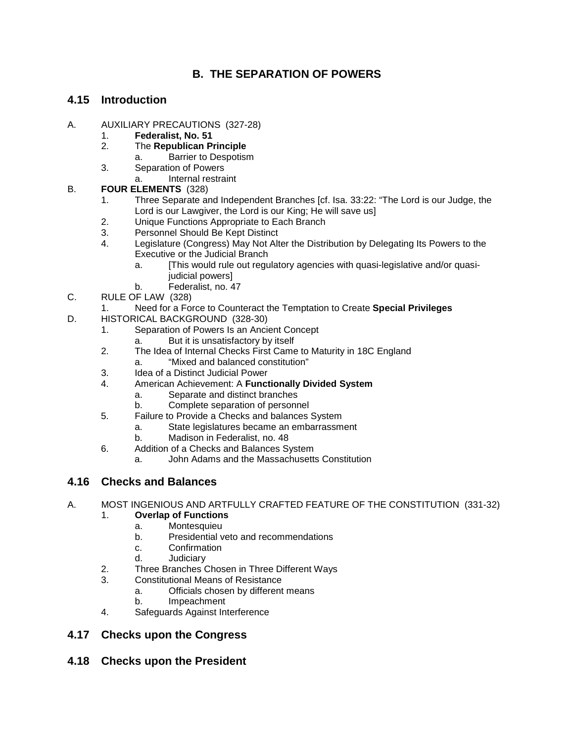# **B. THE SEPARATION OF POWERS**

## **4.15 Introduction**

- A. AUXILIARY PRECAUTIONS (327-28)
	- 1. **Federalist, No. 51**
	- 2. The **Republican Principle**
		- a. Barrier to Despotism
	- 3. Separation of Powers
		- a. Internal restraint

#### B. **FOUR ELEMENTS** (328)

- 1. Three Separate and Independent Branches [cf. Isa. 33:22: "The Lord is our Judge, the Lord is our Lawgiver, the Lord is our King; He will save us]
- 2. Unique Functions Appropriate to Each Branch<br>3. Personnel Should Be Kept Distinct
- Personnel Should Be Kept Distinct
- 4. Legislature (Congress) May Not Alter the Distribution by Delegating Its Powers to the Executive or the Judicial Branch
	- a. [This would rule out regulatory agencies with quasi-legislative and/or quasijudicial powers]
	- b. Federalist, no. 47
- C. RULE OF LAW (328)
	- 1. Need for a Force to Counteract the Temptation to Create **Special Privileges**
- D. HISTORICAL BACKGROUND (328-30)
	- 1. Separation of Powers Is an Ancient Concept
		- a. But it is unsatisfactory by itself
	- 2. The Idea of Internal Checks First Came to Maturity in 18C England
		- a. "Mixed and balanced constitution"
	- 3. Idea of a Distinct Judicial Power
	- 4. American Achievement: A **Functionally Divided System**
		- a. Separate and distinct branches
		- b. Complete separation of personnel
	- 5. Failure to Provide a Checks and balances System
		- a. State legislatures became an embarrassment
			- b. Madison in Federalist, no. 48
	- 6. Addition of a Checks and Balances System
		- a. John Adams and the Massachusetts Constitution

## **4.16 Checks and Balances**

A. MOST INGENIOUS AND ARTFULLY CRAFTED FEATURE OF THE CONSTITUTION (331-32)

#### 1. **Overlap of Functions**

- a. Montesquieu
- b. Presidential veto and recommendations
- c. Confirmation<br>d. Judiciary
- **Judiciary**
- 2. Three Branches Chosen in Three Different Ways
- 3. Constitutional Means of Resistance
	- a. Officials chosen by different means
	- b. Impeachment
- 4. Safeguards Against Interference

## **4.17 Checks upon the Congress**

**4.18 Checks upon the President**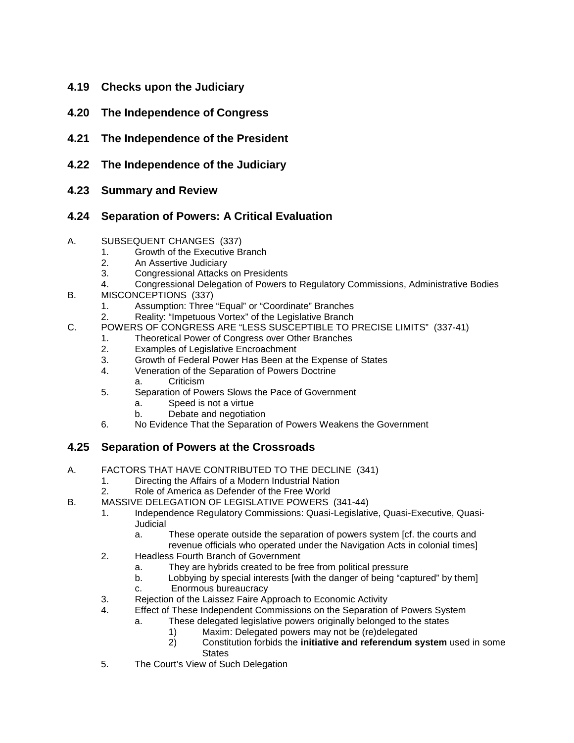- **4.19 Checks upon the Judiciary**
- **4.20 The Independence of Congress**
- **4.21 The Independence of the President**
- **4.22 The Independence of the Judiciary**
- **4.23 Summary and Review**

# **4.24 Separation of Powers: A Critical Evaluation**

#### A. SUBSEQUENT CHANGES (337)

- 1. Growth of the Executive Branch<br>2. An Assertive Judiciary
- 2. An Assertive Judiciary<br>3. Congressional Attacks
- 3. Congressional Attacks on Presidents
- 4. Congressional Delegation of Powers to Regulatory Commissions, Administrative Bodies
- B. MISCONCEPTIONS (337)
	- 1. Assumption: Three "Equal" or "Coordinate" Branches
	- 2. Reality: "Impetuous Vortex" of the Legislative Branch
- C. POWERS OF CONGRESS ARE "LESS SUSCEPTIBLE TO PRECISE LIMITS" (337-41)
	- 1. Theoretical Power of Congress over Other Branches
	- 2. Examples of Legislative Encroachment
	- 3. Growth of Federal Power Has Been at the Expense of States
	- 4. Veneration of the Separation of Powers Doctrine
	- a. Criticism
	- 5. Separation of Powers Slows the Pace of Government
		- a. Speed is not a virtue
		- b. Debate and negotiation
	- 6. No Evidence That the Separation of Powers Weakens the Government

## **4.25 Separation of Powers at the Crossroads**

- A. FACTORS THAT HAVE CONTRIBUTED TO THE DECLINE (341)
	- 1. Directing the Affairs of a Modern Industrial Nation
	- 2. Role of America as Defender of the Free World
- B. MASSIVE DELEGATION OF LEGISLATIVE POWERS (341-44)
	- 1. Independence Regulatory Commissions: Quasi-Legislative, Quasi-Executive, Quasi-Judicial
		- a. These operate outside the separation of powers system [cf. the courts and revenue officials who operated under the Navigation Acts in colonial times]
	- 2. Headless Fourth Branch of Government
		- a. They are hybrids created to be free from political pressure
		- b. Lobbying by special interests [with the danger of being "captured" by them]
		- c. Enormous bureaucracy
	- 3. Rejection of the Laissez Faire Approach to Economic Activity
	- 4. Effect of These Independent Commissions on the Separation of Powers System
		- a. These delegated legislative powers originally belonged to the states
			- 1) Maxim: Delegated powers may not be (re)delegated
			- 2) Constitution forbids the **initiative and referendum system** used in some **States**
	- 5. The Court's View of Such Delegation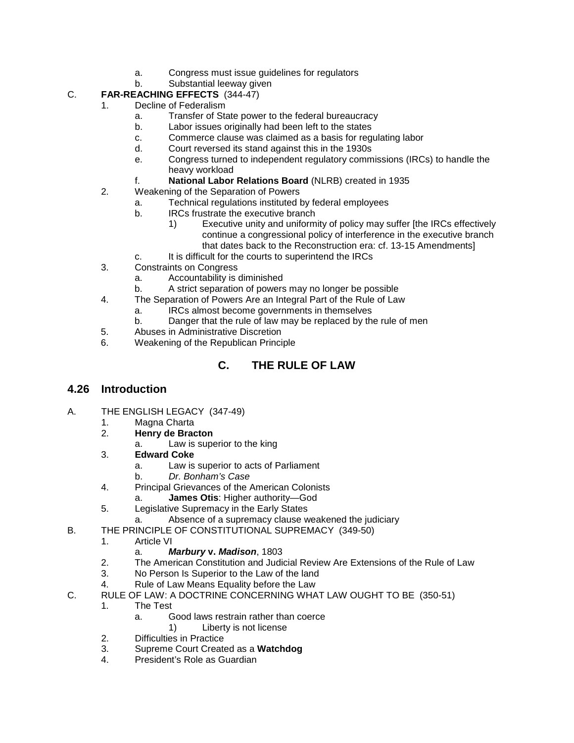- a. Congress must issue guidelines for regulators
- b. Substantial leeway given
- C. **FAR-REACHING EFFECTS** (344-47)
	- Decline of Federalism
		- a. Transfer of State power to the federal bureaucracy
		- b. Labor issues originally had been left to the states
		- c. Commerce clause was claimed as a basis for regulating labor
		- d. Court reversed its stand against this in the 1930s
		- e. Congress turned to independent regulatory commissions (IRCs) to handle the heavy workload
		- f. **National Labor Relations Board** (NLRB) created in 1935
	- 2. Weakening of the Separation of Powers
		- a. Technical regulations instituted by federal employees
		- b. IRCs frustrate the executive branch
			- 1) Executive unity and uniformity of policy may suffer [the IRCs effectively continue a congressional policy of interference in the executive branch that dates back to the Reconstruction era: cf. 13-15 Amendments]
		- c. It is difficult for the courts to superintend the IRCs
	- 3. Constraints on Congress
		- a. Accountability is diminished
		- b. A strict separation of powers may no longer be possible
	- 4. The Separation of Powers Are an Integral Part of the Rule of Law
		- a. IRCs almost become governments in themselves
		- b. Danger that the rule of law may be replaced by the rule of men
	- 5. Abuses in Administrative Discretion
	- 6. Weakening of the Republican Principle

# **C. THE RULE OF LAW**

#### **4.26 Introduction**

- A. THE ENGLISH LEGACY (347-49)
	- 1. Magna Charta<br>2. **Henry de Brac**
	- 2. **Henry de Bracton**
		- a. Law is superior to the king
	- 3. **Edward Coke**
		- a. Law is superior to acts of Parliament
		- b. *Dr. Bonham's Case*
	- 4. Principal Grievances of the American Colonists
		- a. **James Otis**: Higher authority—God
	- 5. Legislative Supremacy in the Early States
		- a. Absence of a supremacy clause weakened the judiciary
- B. THE PRINCIPLE OF CONSTITUTIONAL SUPREMACY (349-50)
	- 1. Article VI
		- a. *Marbury* **v.** *Madison*, 1803
	- 2. The American Constitution and Judicial Review Are Extensions of the Rule of Law
	- 3. No Person Is Superior to the Law of the land
	- 4. Rule of Law Means Equality before the Law
- C. RULE OF LAW: A DOCTRINE CONCERNING WHAT LAW OUGHT TO BE (350-51)
	- 1. The Test
		- a. Good laws restrain rather than coerce
			- 1) Liberty is not license
	- 2. Difficulties in Practice
	- 3. Supreme Court Created as a **Watchdog**
	- President's Role as Guardian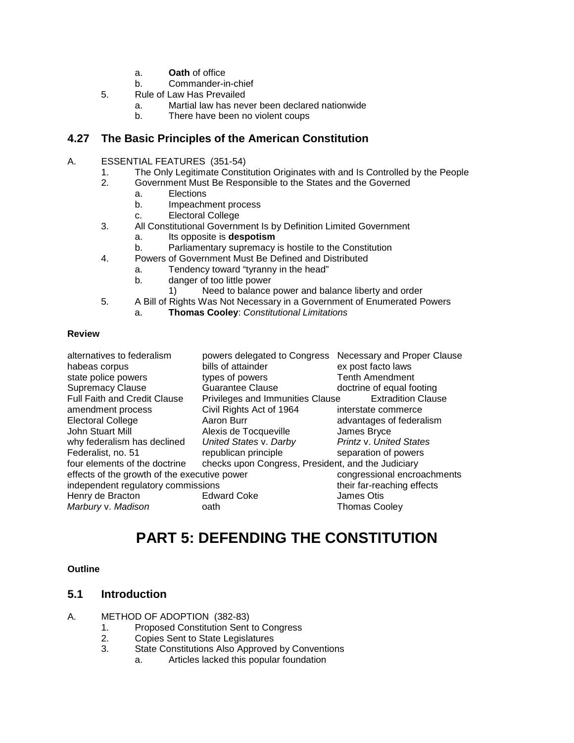- a. **Oath** of office
- b. Commander-in-chief
- 5. Rule of Law Has Prevailed
	- a. Martial law has never been declared nationwide
	- b. There have been no violent coups

#### **4.27 The Basic Principles of the American Constitution**

- A. ESSENTIAL FEATURES (351-54)
	- 1. The Only Legitimate Constitution Originates with and Is Controlled by the People<br>2. Government Must Be Responsible to the States and the Governed
		- 2. Government Must Be Responsible to the States and the Governed
		- a. Elections<br>b Impeachn
			- b. Impeachment process
			- c. Electoral College
	- 3. All Constitutional Government Is by Definition Limited Government
		- a. Its opposite is **despotism**
		- b. Parliamentary supremacy is hostile to the Constitution
	- 4. Powers of Government Must Be Defined and Distributed
		- a. Tendency toward "tyranny in the head"
		- b. danger of too little power
			- 1) Need to balance power and balance liberty and order
	- 5. A Bill of Rights Was Not Necessary in a Government of Enumerated Powers
		- a. **Thomas Cooley**: *Constitutional Limitations*

#### **Review**

| alternatives to federalism<br>habeas corpus<br>state police powers | powers delegated to Congress<br>bills of attainder<br>types of powers | Necessary and Proper Clause<br>ex post facto laws<br><b>Tenth Amendment</b> |
|--------------------------------------------------------------------|-----------------------------------------------------------------------|-----------------------------------------------------------------------------|
| <b>Supremacy Clause</b>                                            | <b>Guarantee Clause</b>                                               | doctrine of equal footing                                                   |
| Full Faith and Credit Clause                                       | Privileges and Immunities Clause                                      | <b>Extradition Clause</b>                                                   |
| amendment process                                                  | Civil Rights Act of 1964                                              | interstate commerce                                                         |
| <b>Electoral College</b>                                           | Aaron Burr                                                            | advantages of federalism                                                    |
| John Stuart Mill                                                   | Alexis de Tocqueville                                                 | James Bryce                                                                 |
| why federalism has declined                                        | United States v. Darby                                                | Printz v. United States                                                     |
| Federalist, no. 51                                                 | republican principle                                                  | separation of powers                                                        |
| four elements of the doctrine                                      | checks upon Congress, President, and the Judiciary                    |                                                                             |
| effects of the growth of the executive power                       |                                                                       | congressional encroachments                                                 |
| independent regulatory commissions                                 |                                                                       | their far-reaching effects                                                  |
| Henry de Bracton                                                   | <b>Edward Coke</b>                                                    | James Otis                                                                  |
| Marbury v. Madison                                                 | oath                                                                  | <b>Thomas Cooley</b>                                                        |

# **PART 5: DEFENDING THE CONSTITUTION**

#### **Outline**

#### **5.1 Introduction**

- A. METHOD OF ADOPTION (382-83)
	- 1. Proposed Constitution Sent to Congress<br>2. Copies Sent to State Legislatures
	- 2. Copies Sent to State Legislatures
	- 3. State Constitutions Also Approved by Conventions
		- a. Articles lacked this popular foundation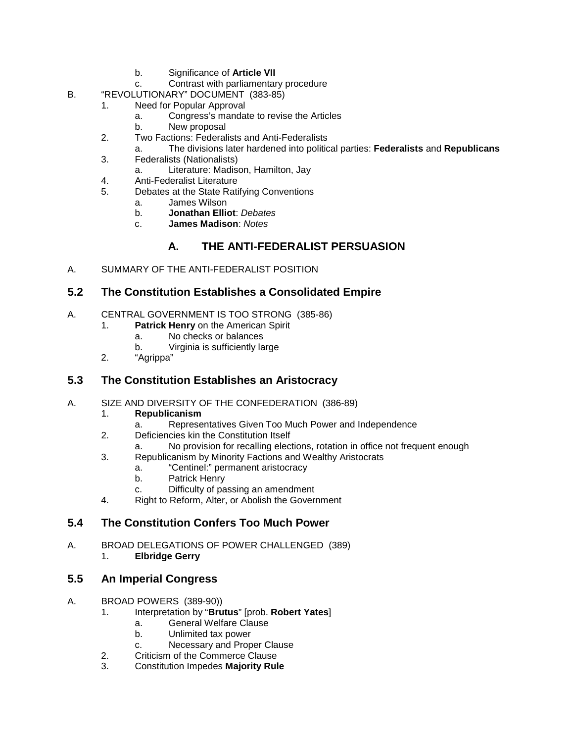- b. Significance of **Article VII**
- c. Contrast with parliamentary procedure
- B. "REVOLUTIONARY" DOCUMENT (383-85)
	- 1. Need for Popular Approval
		- a. Congress's mandate to revise the Articles
		- b. New proposal
	- 2. Two Factions: Federalists and Anti-Federalists
		- a. The divisions later hardened into political parties: **Federalists** and **Republicans**
	- 3. Federalists (Nationalists)
		- a. Literature: Madison, Hamilton, Jay
	- 4. Anti-Federalist Literature
	- 5. Debates at the State Ratifying Conventions
		- a. James Wilson
			- b. **Jonathan Elliot**: *Debates*
		- c. **James Madison**: *Notes*

# **A. THE ANTI-FEDERALIST PERSUASION**

A. SUMMARY OF THE ANTI-FEDERALIST POSITION

#### **5.2 The Constitution Establishes a Consolidated Empire**

- A. CENTRAL GOVERNMENT IS TOO STRONG (385-86)
	- 1. **Patrick Henry** on the American Spirit
		- a. No checks or balances
		- b. Virginia is sufficiently large
	- 2. "Agrippa"

## **5.3 The Constitution Establishes an Aristocracy**

- A. SIZE AND DIVERSITY OF THE CONFEDERATION (386-89)
	- 1. **Republicanism**
		- a. Representatives Given Too Much Power and Independence
	- 2. Deficiencies kin the Constitution Itself
	- a. No provision for recalling elections, rotation in office not frequent enough
	- 3. Republicanism by Minority Factions and Wealthy Aristocrats
		- a. "Centinel:" permanent aristocracy
		- b. Patrick Henry
		- c. Difficulty of passing an amendment
	- 4. Right to Reform, Alter, or Abolish the Government

## **5.4 The Constitution Confers Too Much Power**

A. BROAD DELEGATIONS OF POWER CHALLENGED (389)<br>1. **Elbridge Gerry** 1. **Elbridge Gerry**

#### **5.5 An Imperial Congress**

- A. BROAD POWERS (389-90))
	- 1. Interpretation by "**Brutus**" [prob. **Robert Yates**]
		- a. General Welfare Clause
		- b. Unlimited tax power
		- c. Necessary and Proper Clause
	- 2. Criticism of the Commerce Clause
	- 3. Constitution Impedes **Majority Rule**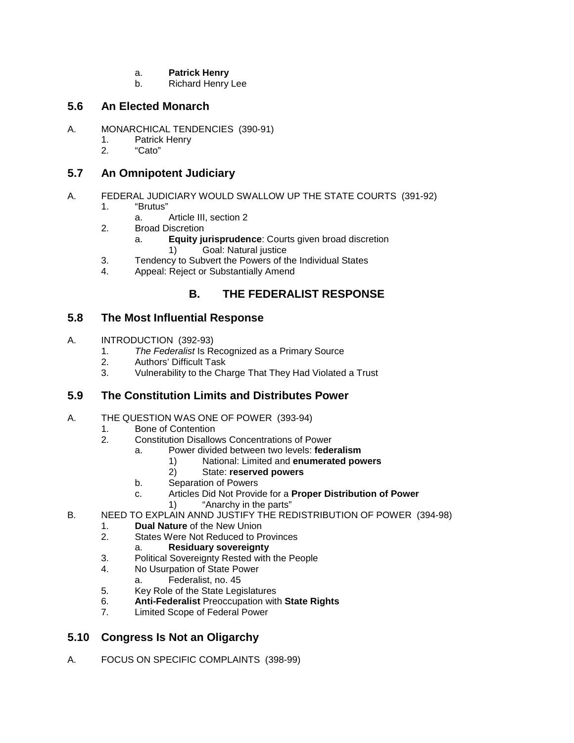- a. **Patrick Henry**
- b. Richard Henry Lee

#### **5.6 An Elected Monarch**

- A. MONARCHICAL TENDENCIES (390-91)
	- 1. Patrick Henry<br>2. "Cato"
	- "Cato"

#### **5.7 An Omnipotent Judiciary**

- A. FEDERAL JUDICIARY WOULD SWALLOW UP THE STATE COURTS (391-92)
	- 1. "Brutus"
		- a. Article III, section 2
	- 2. Broad Discretion
		- a. **Equity jurisprudence**: Courts given broad discretion
			- 1) Goal: Natural justice
	- 3. Tendency to Subvert the Powers of the Individual States<br>4 Appeal: Reject or Substantially Amend
	- Appeal: Reject or Substantially Amend

# **B. THE FEDERALIST RESPONSE**

#### **5.8 The Most Influential Response**

- A. INTRODUCTION (392-93)
	- 1. *The Federalist* Is Recognized as a Primary Source
	- 2. Authors' Difficult Task
	- 3. Vulnerability to the Charge That They Had Violated a Trust

## **5.9 The Constitution Limits and Distributes Power**

- A. THE QUESTION WAS ONE OF POWER (393-94)
	- 1. Bone of Contention<br>2. Constitution Disallov
		- 2. Constitution Disallows Concentrations of Power
			- a. Power divided between two levels: **federalism**
				- 1) National: Limited and **enumerated powers**
				- 2) State: **reserved powers**
			- b. Separation of Powers
			- c. Articles Did Not Provide for a **Proper Distribution of Power**
				- 1) "Anarchy in the parts"
- B. NEED TO EXPLAIN ANND JUSTIFY THE REDISTRIBUTION OF POWER (394-98)
	- 1. **Dual Nature** of the New Union
	- **States Were Not Reduced to Provinces** 
		- a. **Residuary sovereignty**
	- 3. Political Sovereignty Rested with the People
	- 4. No Usurpation of State Power
		- a. Federalist, no. 45
	- 5. Key Role of the State Legislatures
	- 6. **Anti-Federalist** Preoccupation with **State Rights**
	- Limited Scope of Federal Power

## **5.10 Congress Is Not an Oligarchy**

A. FOCUS ON SPECIFIC COMPLAINTS (398-99)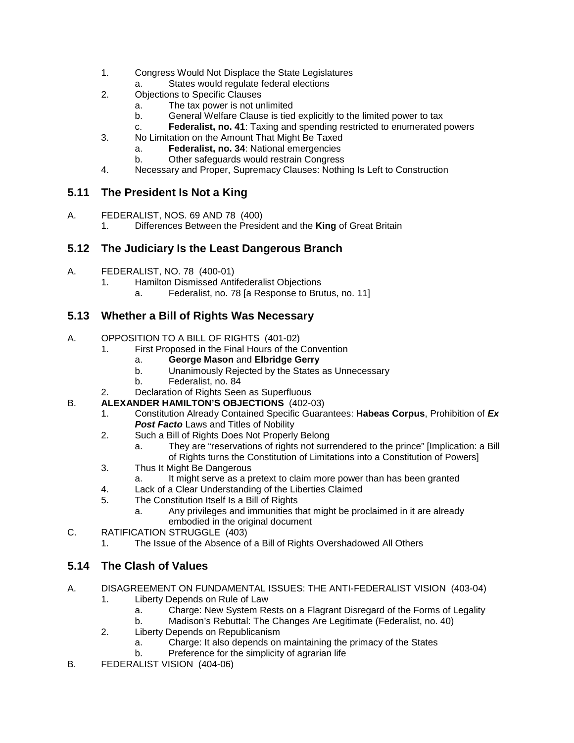- 1. Congress Would Not Displace the State Legislatures
	- a. States would regulate federal elections
- 2. Objections to Specific Clauses
	- a. The tax power is not unlimited
	- b. General Welfare Clause is tied explicitly to the limited power to tax
	- c. **Federalist, no. 41**: Taxing and spending restricted to enumerated powers
- 3. No Limitation on the Amount That Might Be Taxed
	- a. **Federalist, no. 34**: National emergencies
		- Other safeguards would restrain Congress
- 4. Necessary and Proper, Supremacy Clauses: Nothing Is Left to Construction

## **5.11 The President Is Not a King**

- A. FEDERALIST, NOS. 69 AND 78 (400)
	- 1. Differences Between the President and the **King** of Great Britain

#### **5.12 The Judiciary Is the Least Dangerous Branch**

- A. FEDERALIST, NO. 78 (400-01)
	- 1. Hamilton Dismissed Antifederalist Objections<br>a. Federalist. no. 78 la Response to Bru
		- Federalist, no. 78 [a Response to Brutus, no. 11]

## **5.13 Whether a Bill of Rights Was Necessary**

- A. OPPOSITION TO A BILL OF RIGHTS (401-02)
	- 1. First Proposed in the Final Hours of the Convention
		- a. **George Mason** and **Elbridge Gerry**
		- b. Unanimously Rejected by the States as Unnecessary
		- b. Federalist, no. 84
	- 2. Declaration of Rights Seen as Superfluous

#### B. **ALEXANDER HAMILTON'S OBJECTIONS** (402-03)

- 1. Constitution Already Contained Specific Guarantees: **Habeas Corpus**, Prohibition of *Ex* **Post Facto** Laws and Titles of Nobility
- 2. Such a Bill of Rights Does Not Properly Belong
	- a. They are "reservations of rights not surrendered to the prince" [Implication: a Bill of Rights turns the Constitution of Limitations into a Constitution of Powers]
- 3. Thus It Might Be Dangerous
	- a. It might serve as a pretext to claim more power than has been granted
- 4. Lack of a Clear Understanding of the Liberties Claimed
- 5. The Constitution Itself Is a Bill of Rights
	- a. Any privileges and immunities that might be proclaimed in it are already embodied in the original document
- C. RATIFICATION STRUGGLE (403)
	- 1. The Issue of the Absence of a Bill of Rights Overshadowed All Others

## **5.14 The Clash of Values**

- A. DISAGREEMENT ON FUNDAMENTAL ISSUES: THE ANTI-FEDERALIST VISION (403-04)
	- 1. Liberty Depends on Rule of Law
		- a. Charge: New System Rests on a Flagrant Disregard of the Forms of Legality
		- b. Madison's Rebuttal: The Changes Are Legitimate (Federalist, no. 40)
	- 2. Liberty Depends on Republicanism
		- a. Charge: It also depends on maintaining the primacy of the States b. Preference for the simplicity of agrarian life
- B. FEDERALIST VISION (404-06)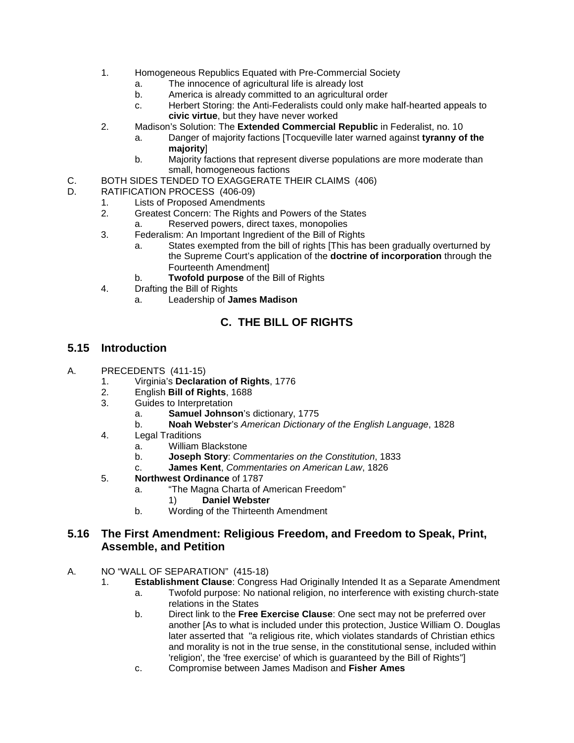- 1. Homogeneous Republics Equated with Pre-Commercial Society
	- a. The innocence of agricultural life is already lost
	- b. America is already committed to an agricultural order
	- c. Herbert Storing: the Anti-Federalists could only make half-hearted appeals to **civic virtue**, but they have never worked
- 2. Madison's Solution: The **Extended Commercial Republic** in Federalist, no. 10
	- a. Danger of majority factions [Tocqueville later warned against **tyranny of the majority**]
	- b. Majority factions that represent diverse populations are more moderate than small, homogeneous factions
- C. BOTH SIDES TENDED TO EXAGGERATE THEIR CLAIMS (406)<br>D. RATIFICATION PROCESS (406-09)
- RATIFICATION PROCESS (406-09)<br>1. Lists of Proposed Amendmen
	- Lists of Proposed Amendments
		- 2. Greatest Concern: The Rights and Powers of the States
			- a. Reserved powers, direct taxes, monopolies
		- 3. Federalism: An Important Ingredient of the Bill of Rights
			- a. States exempted from the bill of rights [This has been gradually overturned by the Supreme Court's application of the **doctrine of incorporation** through the Fourteenth Amendment]
			- b. **Twofold purpose** of the Bill of Rights
		- 4. Drafting the Bill of Rights
			- a. Leadership of **James Madison**

## **C. THE BILL OF RIGHTS**

#### **5.15 Introduction**

- A. PRECEDENTS (411-15)
	- 1. Virginia's **Declaration of Rights**, 1776
	- 2. English **Bill of Rights**, 1688
	- Guides to Interpretation
		- a. **Samuel Johnson**'s dictionary, 1775
		- b. **Noah Webster**'s *American Dictionary of the English Language*, 1828
	- 4. Legal Traditions
		- a. William Blackstone
		- b. **Joseph Story**: *Commentaries on the Constitution*, 1833
		- c. **James Kent**, *Commentaries on American Law*, 1826
	- 5. **Northwest Ordinance** of 1787
		- a. "The Magna Charta of American Freedom"
			- 1) **Daniel Webster**
		- b. Wording of the Thirteenth Amendment

#### **5.16 The First Amendment: Religious Freedom, and Freedom to Speak, Print, Assemble, and Petition**

- A. NO "WALL OF SEPARATION" (415-18)
	- 1. **Establishment Clause**: Congress Had Originally Intended It as a Separate Amendment
		- a. Twofold purpose: No national religion, no interference with existing church-state relations in the States
		- b. Direct link to the **Free Exercise Clause**: One sect may not be preferred over another [As to what is included under this protection, Justice William O. Douglas later asserted that "a religious rite, which violates standards of Christian ethics and morality is not in the true sense, in the constitutional sense, included within 'religion', the 'free exercise' of which is guaranteed by the Bill of Rights"]
		- c. Compromise between James Madison and **Fisher Ames**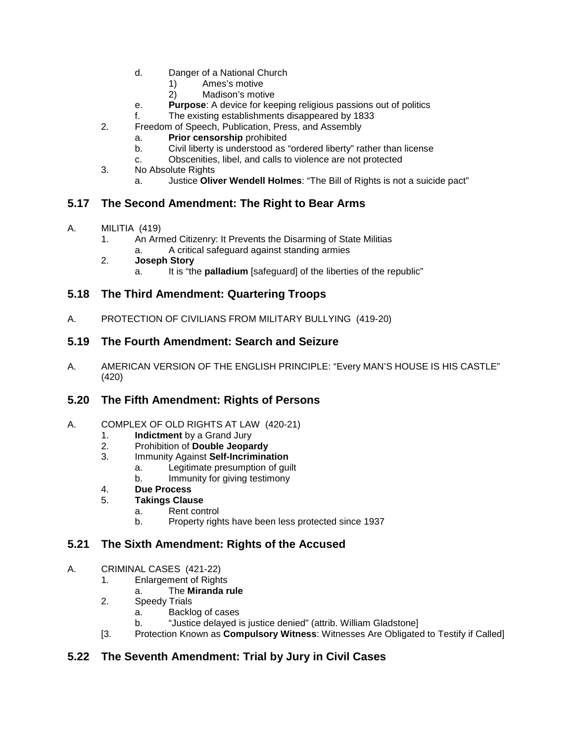- d. Danger of a National Church
	- 1) Ames's motive
	- 2) Madison's motive
- e. **Purpose**: A device for keeping religious passions out of politics
- f. The existing establishments disappeared by 1833
- 2. Freedom of Speech, Publication, Press, and Assembly
	- a. **Prior censorship** prohibited
	- b. Civil liberty is understood as "ordered liberty" rather than license
	- c. Obscenities, libel, and calls to violence are not protected
- 3. No Absolute Rights
	- a. Justice **Oliver Wendell Holmes**: "The Bill of Rights is not a suicide pact"

# **5.17 The Second Amendment: The Right to Bear Arms**

- A. MILITIA (419)
	- 1. An Armed Citizenry: It Prevents the Disarming of State Militias
		- a. A critical safeguard against standing armies
	- 2. **Joseph Story**
		- a. It is "the **palladium** [safeguard] of the liberties of the republic"

## **5.18 The Third Amendment: Quartering Troops**

A. PROTECTION OF CIVILIANS FROM MILITARY BULLYING (419-20)

## **5.19 The Fourth Amendment: Search and Seizure**

A. AMERICAN VERSION OF THE ENGLISH PRINCIPLE: "Every MAN'S HOUSE IS HIS CASTLE" (420)

## **5.20 The Fifth Amendment: Rights of Persons**

- A. COMPLEX OF OLD RIGHTS AT LAW (420-21)
	- 1. **Indictment** by a Grand Jury
	- 2. Prohibition of **Double Jeopardy**
	- 3. Immunity Against **Self-Incrimination**
		- a. Legitimate presumption of guilt
		- b. Immunity for giving testimony
	- 4. **Due Process**

#### 5. **Takings Clause**

- a. Rent control
- b. Property rights have been less protected since 1937

## **5.21 The Sixth Amendment: Rights of the Accused**

- A. CRIMINAL CASES (421-22)
	- 1. Enlargement of Rights
		- a. The **Miranda rule**
	- 2. Speedy Trials
		- a. Backlog of cases
			- b. "Justice delayed is justice denied" (attrib. William Gladstone]
	- [3. Protection Known as **Compulsory Witness**: Witnesses Are Obligated to Testify if Called]

# **5.22 The Seventh Amendment: Trial by Jury in Civil Cases**